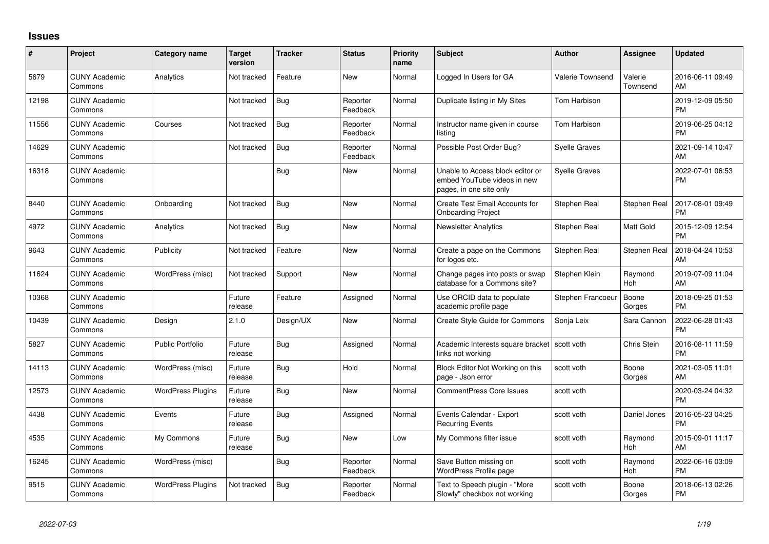## **Issues**

| #     | Project                         | Category name            | <b>Target</b><br>version | <b>Tracker</b> | <b>Status</b>        | <b>Priority</b><br>name | Subject                                                                                    | Author               | Assignee            | <b>Updated</b>                |
|-------|---------------------------------|--------------------------|--------------------------|----------------|----------------------|-------------------------|--------------------------------------------------------------------------------------------|----------------------|---------------------|-------------------------------|
| 5679  | <b>CUNY Academic</b><br>Commons | Analytics                | Not tracked              | Feature        | <b>New</b>           | Normal                  | Logged In Users for GA                                                                     | Valerie Townsend     | Valerie<br>Townsend | 2016-06-11 09:49<br>AM        |
| 12198 | <b>CUNY Academic</b><br>Commons |                          | Not tracked              | Bug            | Reporter<br>Feedback | Normal                  | Duplicate listing in My Sites                                                              | Tom Harbison         |                     | 2019-12-09 05:50<br><b>PM</b> |
| 11556 | <b>CUNY Academic</b><br>Commons | Courses                  | Not tracked              | Bug            | Reporter<br>Feedback | Normal                  | Instructor name given in course<br>listing                                                 | Tom Harbison         |                     | 2019-06-25 04:12<br><b>PM</b> |
| 14629 | <b>CUNY Academic</b><br>Commons |                          | Not tracked              | Bug            | Reporter<br>Feedback | Normal                  | Possible Post Order Bug?                                                                   | <b>Syelle Graves</b> |                     | 2021-09-14 10:47<br>AM        |
| 16318 | <b>CUNY Academic</b><br>Commons |                          |                          | <b>Bug</b>     | <b>New</b>           | Normal                  | Unable to Access block editor or<br>embed YouTube videos in new<br>pages, in one site only | <b>Syelle Graves</b> |                     | 2022-07-01 06:53<br><b>PM</b> |
| 8440  | <b>CUNY Academic</b><br>Commons | Onboarding               | Not tracked              | Bug            | <b>New</b>           | Normal                  | Create Test Email Accounts for<br><b>Onboarding Project</b>                                | Stephen Real         | Stephen Real        | 2017-08-01 09:49<br><b>PM</b> |
| 4972  | <b>CUNY Academic</b><br>Commons | Analytics                | Not tracked              | <b>Bug</b>     | <b>New</b>           | Normal                  | Newsletter Analytics                                                                       | Stephen Real         | Matt Gold           | 2015-12-09 12:54<br><b>PM</b> |
| 9643  | <b>CUNY Academic</b><br>Commons | Publicity                | Not tracked              | Feature        | <b>New</b>           | Normal                  | Create a page on the Commons<br>for logos etc.                                             | Stephen Real         | Stephen Real        | 2018-04-24 10:53<br>AM        |
| 11624 | <b>CUNY Academic</b><br>Commons | WordPress (misc)         | Not tracked              | Support        | <b>New</b>           | Normal                  | Change pages into posts or swap<br>database for a Commons site?                            | Stephen Klein        | Raymond<br>Hoh      | 2019-07-09 11:04<br>AM        |
| 10368 | <b>CUNY Academic</b><br>Commons |                          | Future<br>release        | Feature        | Assigned             | Normal                  | Use ORCID data to populate<br>academic profile page                                        | Stephen Francoeu     | Boone<br>Gorges     | 2018-09-25 01:53<br><b>PM</b> |
| 10439 | <b>CUNY Academic</b><br>Commons | Design                   | 2.1.0                    | Design/UX      | <b>New</b>           | Normal                  | <b>Create Style Guide for Commons</b>                                                      | Sonja Leix           | Sara Cannon         | 2022-06-28 01:43<br><b>PM</b> |
| 5827  | <b>CUNY Academic</b><br>Commons | <b>Public Portfolio</b>  | Future<br>release        | Bug            | Assigned             | Normal                  | Academic Interests square bracket   scott voth<br>links not working                        |                      | Chris Stein         | 2016-08-11 11:59<br><b>PM</b> |
| 14113 | <b>CUNY Academic</b><br>Commons | WordPress (misc)         | Future<br>release        | Bug            | Hold                 | Normal                  | Block Editor Not Working on this<br>page - Json error                                      | scott voth           | Boone<br>Gorges     | 2021-03-05 11:01<br>AM        |
| 12573 | <b>CUNY Academic</b><br>Commons | <b>WordPress Plugins</b> | Future<br>release        | Bug            | <b>New</b>           | Normal                  | <b>CommentPress Core Issues</b>                                                            | scott voth           |                     | 2020-03-24 04:32<br><b>PM</b> |
| 4438  | <b>CUNY Academic</b><br>Commons | Events                   | Future<br>release        | Bug            | Assigned             | Normal                  | Events Calendar - Export<br><b>Recurring Events</b>                                        | scott voth           | Daniel Jones        | 2016-05-23 04:25<br><b>PM</b> |
| 4535  | <b>CUNY Academic</b><br>Commons | My Commons               | Future<br>release        | <b>Bug</b>     | New                  | Low                     | My Commons filter issue                                                                    | scott voth           | Raymond<br>Hoh      | 2015-09-01 11:17<br>AM        |
| 16245 | <b>CUNY Academic</b><br>Commons | WordPress (misc)         |                          | Bug            | Reporter<br>Feedback | Normal                  | Save Button missing on<br>WordPress Profile page                                           | scott voth           | Raymond<br>Hoh      | 2022-06-16 03:09<br><b>PM</b> |
| 9515  | <b>CUNY Academic</b><br>Commons | <b>WordPress Plugins</b> | Not tracked              | <b>Bug</b>     | Reporter<br>Feedback | Normal                  | Text to Speech plugin - "More<br>Slowly" checkbox not working                              | scott voth           | Boone<br>Gorges     | 2018-06-13 02:26<br><b>PM</b> |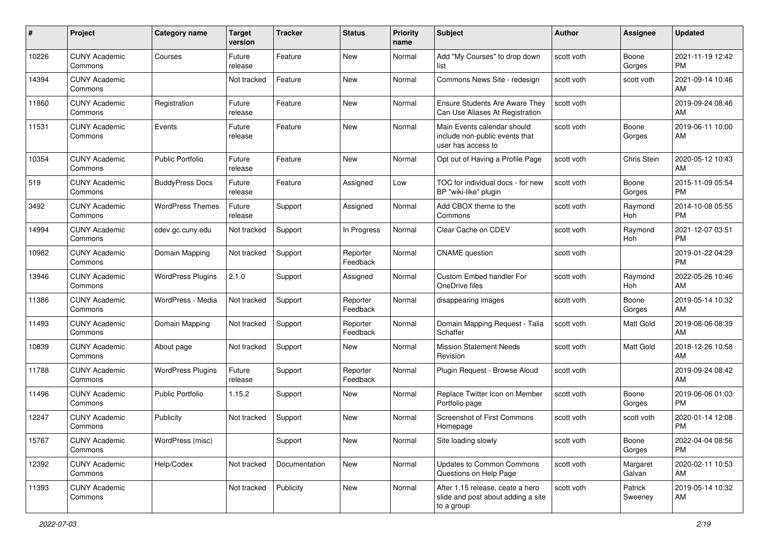| #     | Project                         | Category name            | <b>Target</b><br>version | <b>Tracker</b> | <b>Status</b>        | <b>Priority</b><br>name | Subject                                                                              | Author     | <b>Assignee</b>    | <b>Updated</b>                |
|-------|---------------------------------|--------------------------|--------------------------|----------------|----------------------|-------------------------|--------------------------------------------------------------------------------------|------------|--------------------|-------------------------------|
| 10226 | <b>CUNY Academic</b><br>Commons | Courses                  | Future<br>release        | Feature        | <b>New</b>           | Normal                  | Add "My Courses" to drop down<br>list                                                | scott voth | Boone<br>Gorges    | 2021-11-19 12:42<br><b>PM</b> |
| 14394 | <b>CUNY Academic</b><br>Commons |                          | Not tracked              | Feature        | New                  | Normal                  | Commons News Site - redesign                                                         | scott voth | scott voth         | 2021-09-14 10:46<br>AM        |
| 11860 | <b>CUNY Academic</b><br>Commons | Registration             | Future<br>release        | Feature        | <b>New</b>           | Normal                  | <b>Ensure Students Are Aware They</b><br>Can Use Aliases At Registration             | scott voth |                    | 2019-09-24 08:46<br>AM        |
| 11531 | <b>CUNY Academic</b><br>Commons | Events                   | Future<br>release        | Feature        | <b>New</b>           | Normal                  | Main Events calendar should<br>include non-public events that<br>user has access to  | scott voth | Boone<br>Gorges    | 2019-06-11 10:00<br>AM        |
| 10354 | <b>CUNY Academic</b><br>Commons | <b>Public Portfolio</b>  | Future<br>release        | Feature        | <b>New</b>           | Normal                  | Opt out of Having a Profile Page                                                     | scott voth | Chris Stein        | 2020-05-12 10:43<br>AM        |
| 519   | <b>CUNY Academic</b><br>Commons | <b>BuddyPress Docs</b>   | Future<br>release        | Feature        | Assigned             | Low                     | TOC for individual docs - for new<br>BP "wiki-like" plugin                           | scott voth | Boone<br>Gorges    | 2015-11-09 05:54<br><b>PM</b> |
| 3492  | <b>CUNY Academic</b><br>Commons | <b>WordPress Themes</b>  | Future<br>release        | Support        | Assigned             | Normal                  | Add CBOX theme to the<br>Commons                                                     | scott voth | Raymond<br>Hoh     | 2014-10-08 05:55<br><b>PM</b> |
| 14994 | <b>CUNY Academic</b><br>Commons | cdev.gc.cuny.edu         | Not tracked              | Support        | In Progress          | Normal                  | Clear Cache on CDEV                                                                  | scott voth | Raymond<br>Hoh     | 2021-12-07 03:51<br><b>PM</b> |
| 10982 | <b>CUNY Academic</b><br>Commons | Domain Mapping           | Not tracked              | Support        | Reporter<br>Feedback | Normal                  | <b>CNAME</b> question                                                                | scott voth |                    | 2019-01-22 04:29<br><b>PM</b> |
| 13946 | <b>CUNY Academic</b><br>Commons | <b>WordPress Plugins</b> | 2.1.0                    | Support        | Assigned             | Normal                  | Custom Embed handler For<br>OneDrive files                                           | scott voth | Raymond<br>Hoh     | 2022-05-26 10:46<br>AM        |
| 11386 | <b>CUNY Academic</b><br>Commons | WordPress - Media        | Not tracked              | Support        | Reporter<br>Feedback | Normal                  | disappearing images                                                                  | scott voth | Boone<br>Gorges    | 2019-05-14 10:32<br>AM        |
| 11493 | <b>CUNY Academic</b><br>Commons | Domain Mapping           | Not tracked              | Support        | Reporter<br>Feedback | Normal                  | Domain Mapping Request - Talia<br>Schaffer                                           | scott voth | Matt Gold          | 2019-08-06 08:39<br>AM        |
| 10839 | <b>CUNY Academic</b><br>Commons | About page               | Not tracked              | Support        | New                  | Normal                  | <b>Mission Statement Needs</b><br>Revision                                           | scott voth | Matt Gold          | 2018-12-26 10:58<br>AM        |
| 11788 | <b>CUNY Academic</b><br>Commons | <b>WordPress Plugins</b> | Future<br>release        | Support        | Reporter<br>Feedback | Normal                  | Plugin Request - Browse Aloud                                                        | scott voth |                    | 2019-09-24 08:42<br>AM        |
| 11496 | <b>CUNY Academic</b><br>Commons | <b>Public Portfolio</b>  | 1.15.2                   | Support        | New                  | Normal                  | Replace Twitter Icon on Member<br>Portfolio page                                     | scott voth | Boone<br>Gorges    | 2019-06-06 01:03<br><b>PM</b> |
| 12247 | <b>CUNY Academic</b><br>Commons | Publicity                | Not tracked              | Support        | <b>New</b>           | Normal                  | <b>Screenshot of First Commons</b><br>Homepage                                       | scott voth | scott voth         | 2020-01-14 12:08<br><b>PM</b> |
| 15767 | <b>CUNY Academic</b><br>Commons | WordPress (misc)         |                          | Support        | New                  | Normal                  | Site loading slowly                                                                  | scott voth | Boone<br>Gorges    | 2022-04-04 08:56<br><b>PM</b> |
| 12392 | <b>CUNY Academic</b><br>Commons | Help/Codex               | Not tracked              | Documentation  | New                  | Normal                  | Updates to Common Commons<br>Questions on Help Page                                  | scott voth | Margaret<br>Galvan | 2020-02-11 10:53<br>AM        |
| 11393 | <b>CUNY Academic</b><br>Commons |                          | Not tracked              | Publicity      | New                  | Normal                  | After 1.15 release, ceate a hero<br>slide and post about adding a site<br>to a group | scott voth | Patrick<br>Sweeney | 2019-05-14 10:32<br>AM        |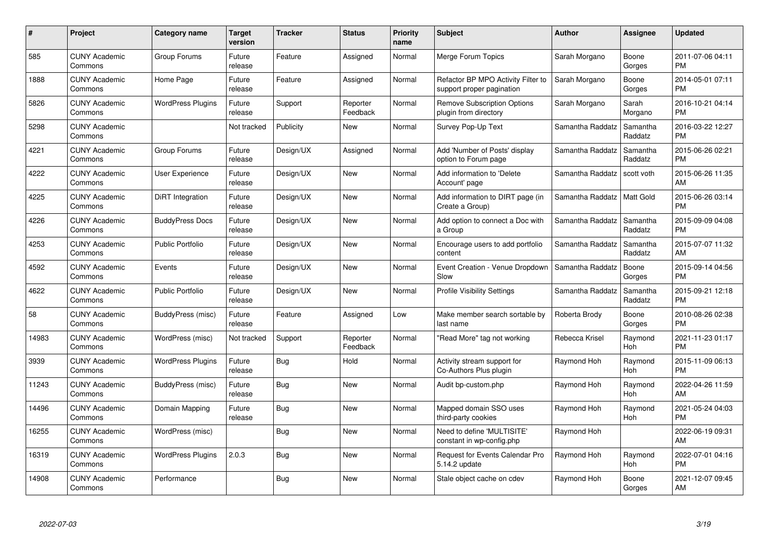| #     | <b>Project</b>                  | Category name            | Target<br>version | <b>Tracker</b> | <b>Status</b>        | <b>Priority</b><br>name | <b>Subject</b>                                                  | <b>Author</b>    | Assignee            | <b>Updated</b>                |
|-------|---------------------------------|--------------------------|-------------------|----------------|----------------------|-------------------------|-----------------------------------------------------------------|------------------|---------------------|-------------------------------|
| 585   | <b>CUNY Academic</b><br>Commons | Group Forums             | Future<br>release | Feature        | Assigned             | Normal                  | Merge Forum Topics                                              | Sarah Morgano    | Boone<br>Gorges     | 2011-07-06 04:11<br><b>PM</b> |
| 1888  | <b>CUNY Academic</b><br>Commons | Home Page                | Future<br>release | Feature        | Assigned             | Normal                  | Refactor BP MPO Activity Filter to<br>support proper pagination | Sarah Morgano    | Boone<br>Gorges     | 2014-05-01 07:11<br><b>PM</b> |
| 5826  | <b>CUNY Academic</b><br>Commons | <b>WordPress Plugins</b> | Future<br>release | Support        | Reporter<br>Feedback | Normal                  | <b>Remove Subscription Options</b><br>plugin from directory     | Sarah Morgano    | Sarah<br>Morgano    | 2016-10-21 04:14<br><b>PM</b> |
| 5298  | <b>CUNY Academic</b><br>Commons |                          | Not tracked       | Publicity      | New                  | Normal                  | Survey Pop-Up Text                                              | Samantha Raddatz | Samantha<br>Raddatz | 2016-03-22 12:27<br><b>PM</b> |
| 4221  | <b>CUNY Academic</b><br>Commons | Group Forums             | Future<br>release | Design/UX      | Assigned             | Normal                  | Add 'Number of Posts' display<br>option to Forum page           | Samantha Raddatz | Samantha<br>Raddatz | 2015-06-26 02:21<br><b>PM</b> |
| 4222  | <b>CUNY Academic</b><br>Commons | User Experience          | Future<br>release | Design/UX      | <b>New</b>           | Normal                  | Add information to 'Delete<br>Account' page                     | Samantha Raddatz | scott voth          | 2015-06-26 11:35<br>AM        |
| 4225  | <b>CUNY Academic</b><br>Commons | DiRT Integration         | Future<br>release | Design/UX      | New                  | Normal                  | Add information to DIRT page (in<br>Create a Group)             | Samantha Raddatz | Matt Gold           | 2015-06-26 03:14<br><b>PM</b> |
| 4226  | <b>CUNY Academic</b><br>Commons | <b>BuddyPress Docs</b>   | Future<br>release | Design/UX      | <b>New</b>           | Normal                  | Add option to connect a Doc with<br>a Group                     | Samantha Raddatz | Samantha<br>Raddatz | 2015-09-09 04:08<br><b>PM</b> |
| 4253  | <b>CUNY Academic</b><br>Commons | <b>Public Portfolio</b>  | Future<br>release | Design/UX      | <b>New</b>           | Normal                  | Encourage users to add portfolio<br>content                     | Samantha Raddatz | Samantha<br>Raddatz | 2015-07-07 11:32<br>AM        |
| 4592  | <b>CUNY Academic</b><br>Commons | Events                   | Future<br>release | Design/UX      | <b>New</b>           | Normal                  | Event Creation - Venue Dropdown<br>Slow                         | Samantha Raddatz | Boone<br>Gorges     | 2015-09-14 04:56<br><b>PM</b> |
| 4622  | <b>CUNY Academic</b><br>Commons | <b>Public Portfolio</b>  | Future<br>release | Design/UX      | New                  | Normal                  | <b>Profile Visibility Settings</b>                              | Samantha Raddatz | Samantha<br>Raddatz | 2015-09-21 12:18<br><b>PM</b> |
| 58    | <b>CUNY Academic</b><br>Commons | BuddyPress (misc)        | Future<br>release | Feature        | Assigned             | Low                     | Make member search sortable by<br>last name                     | Roberta Brody    | Boone<br>Gorges     | 2010-08-26 02:38<br><b>PM</b> |
| 14983 | <b>CUNY Academic</b><br>Commons | WordPress (misc)         | Not tracked       | Support        | Reporter<br>Feedback | Normal                  | "Read More" tag not working                                     | Rebecca Krisel   | Raymond<br>Hoh      | 2021-11-23 01:17<br><b>PM</b> |
| 3939  | <b>CUNY Academic</b><br>Commons | <b>WordPress Plugins</b> | Future<br>release | Bug            | Hold                 | Normal                  | Activity stream support for<br>Co-Authors Plus plugin           | Raymond Hoh      | Raymond<br>Hoh      | 2015-11-09 06:13<br><b>PM</b> |
| 11243 | <b>CUNY Academic</b><br>Commons | BuddyPress (misc)        | Future<br>release | <b>Bug</b>     | <b>New</b>           | Normal                  | Audit bp-custom.php                                             | Raymond Hoh      | Raymond<br>Hoh      | 2022-04-26 11:59<br>AM        |
| 14496 | <b>CUNY Academic</b><br>Commons | Domain Mapping           | Future<br>release | Bug            | New                  | Normal                  | Mapped domain SSO uses<br>third-party cookies                   | Raymond Hoh      | Raymond<br>Hoh      | 2021-05-24 04:03<br><b>PM</b> |
| 16255 | <b>CUNY Academic</b><br>Commons | WordPress (misc)         |                   | Bug            | New                  | Normal                  | Need to define 'MULTISITE'<br>constant in wp-config.php         | Raymond Hoh      |                     | 2022-06-19 09:31<br><b>AM</b> |
| 16319 | <b>CUNY Academic</b><br>Commons | <b>WordPress Plugins</b> | 2.0.3             | Bug            | New                  | Normal                  | Request for Events Calendar Pro<br>5.14.2 update                | Raymond Hoh      | Raymond<br>Hoh      | 2022-07-01 04:16<br><b>PM</b> |
| 14908 | <b>CUNY Academic</b><br>Commons | Performance              |                   | <b>Bug</b>     | <b>New</b>           | Normal                  | Stale object cache on cdev                                      | Raymond Hoh      | Boone<br>Gorges     | 2021-12-07 09:45<br>AM        |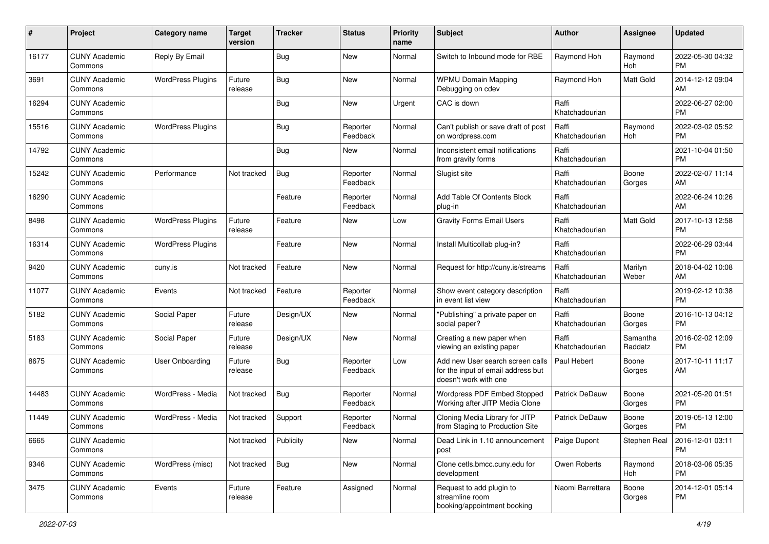| #     | Project                         | <b>Category name</b>     | <b>Target</b><br>version | <b>Tracker</b> | <b>Status</b>        | Priority<br>name | <b>Subject</b>                                                                                  | Author                  | <b>Assignee</b>     | <b>Updated</b>                               |
|-------|---------------------------------|--------------------------|--------------------------|----------------|----------------------|------------------|-------------------------------------------------------------------------------------------------|-------------------------|---------------------|----------------------------------------------|
| 16177 | <b>CUNY Academic</b><br>Commons | Reply By Email           |                          | <b>Bug</b>     | New                  | Normal           | Switch to Inbound mode for RBE                                                                  | Raymond Hoh             | Raymond<br>Hoh      | 2022-05-30 04:32<br><b>PM</b>                |
| 3691  | <b>CUNY Academic</b><br>Commons | <b>WordPress Plugins</b> | Future<br>release        | Bug            | New                  | Normal           | <b>WPMU Domain Mapping</b><br>Debugging on cdev                                                 | Raymond Hoh             | Matt Gold           | 2014-12-12 09:04<br>AM                       |
| 16294 | <b>CUNY Academic</b><br>Commons |                          |                          | <b>Bug</b>     | New                  | Urgent           | CAC is down                                                                                     | Raffi<br>Khatchadourian |                     | 2022-06-27 02:00<br><b>PM</b>                |
| 15516 | <b>CUNY Academic</b><br>Commons | <b>WordPress Plugins</b> |                          | <b>Bug</b>     | Reporter<br>Feedback | Normal           | Can't publish or save draft of post<br>on wordpress.com                                         | Raffi<br>Khatchadourian | Raymond<br>Hoh      | 2022-03-02 05:52<br><b>PM</b>                |
| 14792 | <b>CUNY Academic</b><br>Commons |                          |                          | Bug            | New                  | Normal           | Inconsistent email notifications<br>from gravity forms                                          | Raffi<br>Khatchadourian |                     | 2021-10-04 01:50<br><b>PM</b>                |
| 15242 | <b>CUNY Academic</b><br>Commons | Performance              | Not tracked              | Bug            | Reporter<br>Feedback | Normal           | Slugist site                                                                                    | Raffi<br>Khatchadourian | Boone<br>Gorges     | 2022-02-07 11:14<br>AM                       |
| 16290 | <b>CUNY Academic</b><br>Commons |                          |                          | Feature        | Reporter<br>Feedback | Normal           | Add Table Of Contents Block<br>plug-in                                                          | Raffi<br>Khatchadourian |                     | 2022-06-24 10:26<br>AM                       |
| 8498  | <b>CUNY Academic</b><br>Commons | <b>WordPress Plugins</b> | Future<br>release        | Feature        | New                  | Low              | <b>Gravity Forms Email Users</b>                                                                | Raffi<br>Khatchadourian | <b>Matt Gold</b>    | 2017-10-13 12:58<br><b>PM</b>                |
| 16314 | <b>CUNY Academic</b><br>Commons | <b>WordPress Plugins</b> |                          | Feature        | New                  | Normal           | Install Multicollab plug-in?                                                                    | Raffi<br>Khatchadourian |                     | 2022-06-29 03:44<br><b>PM</b>                |
| 9420  | <b>CUNY Academic</b><br>Commons | cuny.is                  | Not tracked              | Feature        | New                  | Normal           | Request for http://cuny.is/streams                                                              | Raffi<br>Khatchadourian | Marilyn<br>Weber    | 2018-04-02 10:08<br>AM                       |
| 11077 | <b>CUNY Academic</b><br>Commons | Events                   | Not tracked              | Feature        | Reporter<br>Feedback | Normal           | Show event category description<br>in event list view                                           | Raffi<br>Khatchadourian |                     | 2019-02-12 10:38<br><b>PM</b>                |
| 5182  | <b>CUNY Academic</b><br>Commons | Social Paper             | Future<br>release        | Design/UX      | New                  | Normal           | "Publishing" a private paper on<br>social paper?                                                | Raffi<br>Khatchadourian | Boone<br>Gorges     | 2016-10-13 04:12<br><b>PM</b>                |
| 5183  | <b>CUNY Academic</b><br>Commons | Social Paper             | Future<br>release        | Design/UX      | New                  | Normal           | Creating a new paper when<br>viewing an existing paper                                          | Raffi<br>Khatchadourian | Samantha<br>Raddatz | 2016-02-02 12:09<br><b>PM</b>                |
| 8675  | <b>CUNY Academic</b><br>Commons | User Onboarding          | Future<br>release        | Bug            | Reporter<br>Feedback | Low              | Add new User search screen calls<br>for the input of email address but<br>doesn't work with one | Paul Hebert             | Boone<br>Gorges     | 2017-10-11 11:17<br>AM                       |
| 14483 | <b>CUNY Academic</b><br>Commons | WordPress - Media        | Not tracked              | Bug            | Reporter<br>Feedback | Normal           | Wordpress PDF Embed Stopped<br>Working after JITP Media Clone                                   | Patrick DeDauw          | Boone<br>Gorges     | 2021-05-20 01:51<br><b>PM</b>                |
| 11449 | <b>CUNY Academic</b><br>Commons | WordPress - Media        | Not tracked              | Support        | Reporter<br>Feedback | Normal           | Cloning Media Library for JITP<br>from Staging to Production Site                               | Patrick DeDauw          | Boone<br>Gorges     | 2019-05-13 12:00<br><b>PM</b>                |
| 6665  | <b>CUNY Academic</b><br>Commons |                          | Not tracked              | Publicity      | New                  | Normal           | Dead Link in 1.10 announcement<br>post                                                          | Paige Dupont            |                     | Stephen Real   2016-12-01 03:11<br><b>PM</b> |
| 9346  | <b>CUNY Academic</b><br>Commons | WordPress (misc)         | Not tracked              | Bug            | New                  | Normal           | Clone cetls.bmcc.cuny.edu for<br>development                                                    | Owen Roberts            | Raymond<br>Hoh      | 2018-03-06 05:35<br><b>PM</b>                |
| 3475  | <b>CUNY Academic</b><br>Commons | Events                   | Future<br>release        | Feature        | Assigned             | Normal           | Request to add plugin to<br>streamline room<br>booking/appointment booking                      | Naomi Barrettara        | Boone<br>Gorges     | 2014-12-01 05:14<br><b>PM</b>                |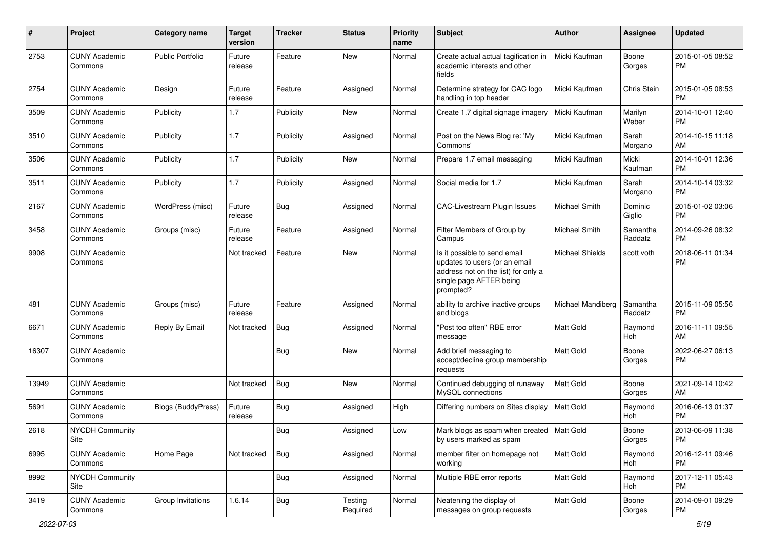| #     | Project                         | <b>Category name</b>      | <b>Target</b><br>version | <b>Tracker</b> | <b>Status</b>       | <b>Priority</b><br>name | Subject                                                                                                                                      | Author                 | <b>Assignee</b>     | <b>Updated</b>                |
|-------|---------------------------------|---------------------------|--------------------------|----------------|---------------------|-------------------------|----------------------------------------------------------------------------------------------------------------------------------------------|------------------------|---------------------|-------------------------------|
| 2753  | <b>CUNY Academic</b><br>Commons | Public Portfolio          | Future<br>release        | Feature        | <b>New</b>          | Normal                  | Create actual actual tagification in<br>academic interests and other<br>fields                                                               | Micki Kaufman          | Boone<br>Gorges     | 2015-01-05 08:52<br><b>PM</b> |
| 2754  | <b>CUNY Academic</b><br>Commons | Design                    | Future<br>release        | Feature        | Assigned            | Normal                  | Determine strategy for CAC logo<br>handling in top header                                                                                    | Micki Kaufman          | Chris Stein         | 2015-01-05 08:53<br><b>PM</b> |
| 3509  | <b>CUNY Academic</b><br>Commons | Publicity                 | 1.7                      | Publicity      | New                 | Normal                  | Create 1.7 digital signage imagery                                                                                                           | Micki Kaufman          | Marilyn<br>Weber    | 2014-10-01 12:40<br><b>PM</b> |
| 3510  | <b>CUNY Academic</b><br>Commons | Publicity                 | 1.7                      | Publicity      | Assigned            | Normal                  | Post on the News Blog re: 'My<br>Commons'                                                                                                    | Micki Kaufman          | Sarah<br>Morgano    | 2014-10-15 11:18<br>AM        |
| 3506  | <b>CUNY Academic</b><br>Commons | Publicity                 | 1.7                      | Publicity      | <b>New</b>          | Normal                  | Prepare 1.7 email messaging                                                                                                                  | Micki Kaufman          | Micki<br>Kaufman    | 2014-10-01 12:36<br><b>PM</b> |
| 3511  | <b>CUNY Academic</b><br>Commons | Publicity                 | 1.7                      | Publicity      | Assigned            | Normal                  | Social media for 1.7                                                                                                                         | Micki Kaufman          | Sarah<br>Morgano    | 2014-10-14 03:32<br><b>PM</b> |
| 2167  | <b>CUNY Academic</b><br>Commons | WordPress (misc)          | Future<br>release        | Bug            | Assigned            | Normal                  | <b>CAC-Livestream Plugin Issues</b>                                                                                                          | <b>Michael Smith</b>   | Dominic<br>Giglio   | 2015-01-02 03:06<br><b>PM</b> |
| 3458  | <b>CUNY Academic</b><br>Commons | Groups (misc)             | Future<br>release        | Feature        | Assigned            | Normal                  | Filter Members of Group by<br>Campus                                                                                                         | <b>Michael Smith</b>   | Samantha<br>Raddatz | 2014-09-26 08:32<br><b>PM</b> |
| 9908  | <b>CUNY Academic</b><br>Commons |                           | Not tracked              | Feature        | <b>New</b>          | Normal                  | Is it possible to send email<br>updates to users (or an email<br>address not on the list) for only a<br>single page AFTER being<br>prompted? | <b>Michael Shields</b> | scott voth          | 2018-06-11 01:34<br><b>PM</b> |
| 481   | <b>CUNY Academic</b><br>Commons | Groups (misc)             | Future<br>release        | Feature        | Assigned            | Normal                  | ability to archive inactive groups<br>and blogs                                                                                              | Michael Mandiberg      | Samantha<br>Raddatz | 2015-11-09 05:56<br><b>PM</b> |
| 6671  | <b>CUNY Academic</b><br>Commons | Reply By Email            | Not tracked              | Bug            | Assigned            | Normal                  | "Post too often" RBE error<br>message                                                                                                        | <b>Matt Gold</b>       | Raymond<br>Hoh      | 2016-11-11 09:55<br>AM        |
| 16307 | <b>CUNY Academic</b><br>Commons |                           |                          | Bug            | New                 | Normal                  | Add brief messaging to<br>accept/decline group membership<br>requests                                                                        | Matt Gold              | Boone<br>Gorges     | 2022-06-27 06:13<br><b>PM</b> |
| 13949 | <b>CUNY Academic</b><br>Commons |                           | Not tracked              | Bug            | <b>New</b>          | Normal                  | Continued debugging of runaway<br>MySQL connections                                                                                          | Matt Gold              | Boone<br>Gorges     | 2021-09-14 10:42<br>AM        |
| 5691  | <b>CUNY Academic</b><br>Commons | <b>Blogs (BuddyPress)</b> | Future<br>release        | Bug            | Assigned            | High                    | Differing numbers on Sites display                                                                                                           | <b>Matt Gold</b>       | Raymond<br>Hoh      | 2016-06-13 01:37<br><b>PM</b> |
| 2618  | NYCDH Community<br>Site         |                           |                          | <b>Bug</b>     | Assigned            | Low                     | Mark blogs as spam when created   Matt Gold<br>by users marked as spam                                                                       |                        | Boone<br>Gorges     | 2013-06-09 11:38<br>PM        |
| 6995  | <b>CUNY Academic</b><br>Commons | Home Page                 | Not tracked              | Bug            | Assigned            | Normal                  | member filter on homepage not<br>working                                                                                                     | Matt Gold              | Raymond<br>Hoh      | 2016-12-11 09:46<br><b>PM</b> |
| 8992  | NYCDH Community<br>Site         |                           |                          | <b>Bug</b>     | Assigned            | Normal                  | Multiple RBE error reports                                                                                                                   | Matt Gold              | Raymond<br>Hoh      | 2017-12-11 05:43<br><b>PM</b> |
| 3419  | <b>CUNY Academic</b><br>Commons | Group Invitations         | 1.6.14                   | Bug            | Testing<br>Required | Normal                  | Neatening the display of<br>messages on group requests                                                                                       | Matt Gold              | Boone<br>Gorges     | 2014-09-01 09:29<br>PM        |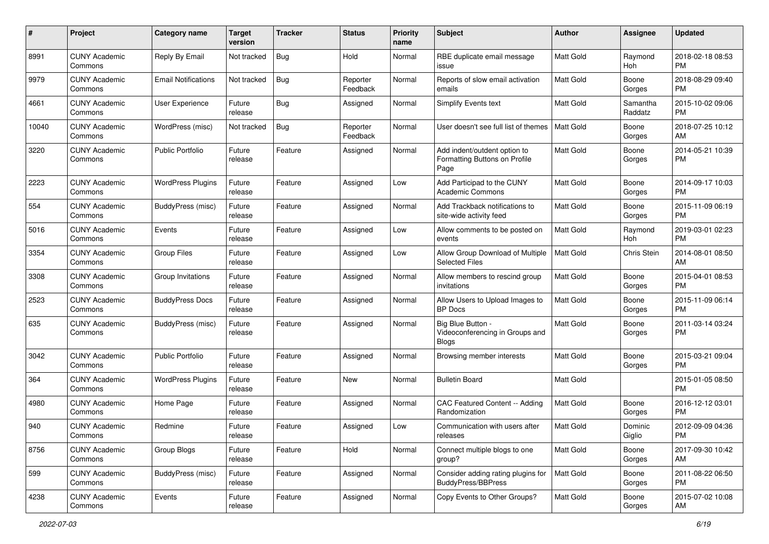| #     | Project                         | <b>Category name</b>       | <b>Target</b><br>version | <b>Tracker</b> | <b>Status</b>        | <b>Priority</b><br>name | <b>Subject</b>                                                        | Author           | <b>Assignee</b>     | <b>Updated</b>                |
|-------|---------------------------------|----------------------------|--------------------------|----------------|----------------------|-------------------------|-----------------------------------------------------------------------|------------------|---------------------|-------------------------------|
| 8991  | <b>CUNY Academic</b><br>Commons | Reply By Email             | Not tracked              | Bug            | Hold                 | Normal                  | RBE duplicate email message<br>issue                                  | <b>Matt Gold</b> | Raymond<br>Hoh      | 2018-02-18 08:53<br><b>PM</b> |
| 9979  | <b>CUNY Academic</b><br>Commons | <b>Email Notifications</b> | Not tracked              | <b>Bug</b>     | Reporter<br>Feedback | Normal                  | Reports of slow email activation<br>emails                            | Matt Gold        | Boone<br>Gorges     | 2018-08-29 09:40<br><b>PM</b> |
| 4661  | <b>CUNY Academic</b><br>Commons | <b>User Experience</b>     | Future<br>release        | Bug            | Assigned             | Normal                  | Simplify Events text                                                  | <b>Matt Gold</b> | Samantha<br>Raddatz | 2015-10-02 09:06<br><b>PM</b> |
| 10040 | <b>CUNY Academic</b><br>Commons | WordPress (misc)           | Not tracked              | Bug            | Reporter<br>Feedback | Normal                  | User doesn't see full list of themes                                  | <b>Matt Gold</b> | Boone<br>Gorges     | 2018-07-25 10:12<br>AM        |
| 3220  | <b>CUNY Academic</b><br>Commons | Public Portfolio           | Future<br>release        | Feature        | Assigned             | Normal                  | Add indent/outdent option to<br>Formatting Buttons on Profile<br>Page | <b>Matt Gold</b> | Boone<br>Gorges     | 2014-05-21 10:39<br><b>PM</b> |
| 2223  | <b>CUNY Academic</b><br>Commons | <b>WordPress Plugins</b>   | Future<br>release        | Feature        | Assigned             | Low                     | Add Participad to the CUNY<br><b>Academic Commons</b>                 | <b>Matt Gold</b> | Boone<br>Gorges     | 2014-09-17 10:03<br><b>PM</b> |
| 554   | <b>CUNY Academic</b><br>Commons | BuddyPress (misc)          | Future<br>release        | Feature        | Assigned             | Normal                  | Add Trackback notifications to<br>site-wide activity feed             | <b>Matt Gold</b> | Boone<br>Gorges     | 2015-11-09 06:19<br><b>PM</b> |
| 5016  | <b>CUNY Academic</b><br>Commons | Events                     | Future<br>release        | Feature        | Assigned             | Low                     | Allow comments to be posted on<br>events                              | <b>Matt Gold</b> | Raymond<br>Hoh      | 2019-03-01 02:23<br><b>PM</b> |
| 3354  | <b>CUNY Academic</b><br>Commons | <b>Group Files</b>         | Future<br>release        | Feature        | Assigned             | Low                     | Allow Group Download of Multiple<br><b>Selected Files</b>             | <b>Matt Gold</b> | Chris Stein         | 2014-08-01 08:50<br>AM        |
| 3308  | <b>CUNY Academic</b><br>Commons | Group Invitations          | Future<br>release        | Feature        | Assigned             | Normal                  | Allow members to rescind group<br>invitations                         | <b>Matt Gold</b> | Boone<br>Gorges     | 2015-04-01 08:53<br><b>PM</b> |
| 2523  | <b>CUNY Academic</b><br>Commons | <b>BuddyPress Docs</b>     | Future<br>release        | Feature        | Assigned             | Normal                  | Allow Users to Upload Images to<br><b>BP</b> Docs                     | Matt Gold        | Boone<br>Gorges     | 2015-11-09 06:14<br><b>PM</b> |
| 635   | <b>CUNY Academic</b><br>Commons | BuddyPress (misc)          | Future<br>release        | Feature        | Assigned             | Normal                  | Big Blue Button -<br>Videoconferencing in Groups and<br><b>Blogs</b>  | <b>Matt Gold</b> | Boone<br>Gorges     | 2011-03-14 03:24<br><b>PM</b> |
| 3042  | <b>CUNY Academic</b><br>Commons | <b>Public Portfolio</b>    | Future<br>release        | Feature        | Assigned             | Normal                  | Browsing member interests                                             | <b>Matt Gold</b> | Boone<br>Gorges     | 2015-03-21 09:04<br><b>PM</b> |
| 364   | <b>CUNY Academic</b><br>Commons | <b>WordPress Plugins</b>   | Future<br>release        | Feature        | <b>New</b>           | Normal                  | <b>Bulletin Board</b>                                                 | <b>Matt Gold</b> |                     | 2015-01-05 08:50<br><b>PM</b> |
| 4980  | <b>CUNY Academic</b><br>Commons | Home Page                  | Future<br>release        | Feature        | Assigned             | Normal                  | CAC Featured Content -- Adding<br>Randomization                       | Matt Gold        | Boone<br>Gorges     | 2016-12-12 03:01<br><b>PM</b> |
| 940   | <b>CUNY Academic</b><br>Commons | Redmine                    | Future<br>release        | Feature        | Assigned             | Low                     | Communication with users after<br>releases                            | <b>Matt Gold</b> | Dominic<br>Giglio   | 2012-09-09 04:36<br>PM        |
| 8756  | <b>CUNY Academic</b><br>Commons | Group Blogs                | Future<br>release        | Feature        | Hold                 | Normal                  | Connect multiple blogs to one<br>group?                               | Matt Gold        | Boone<br>Gorges     | 2017-09-30 10:42<br>AM        |
| 599   | <b>CUNY Academic</b><br>Commons | BuddyPress (misc)          | Future<br>release        | Feature        | Assigned             | Normal                  | Consider adding rating plugins for<br><b>BuddvPress/BBPress</b>       | Matt Gold        | Boone<br>Gorges     | 2011-08-22 06:50<br><b>PM</b> |
| 4238  | <b>CUNY Academic</b><br>Commons | Events                     | Future<br>release        | Feature        | Assigned             | Normal                  | Copy Events to Other Groups?                                          | Matt Gold        | Boone<br>Gorges     | 2015-07-02 10:08<br>AM        |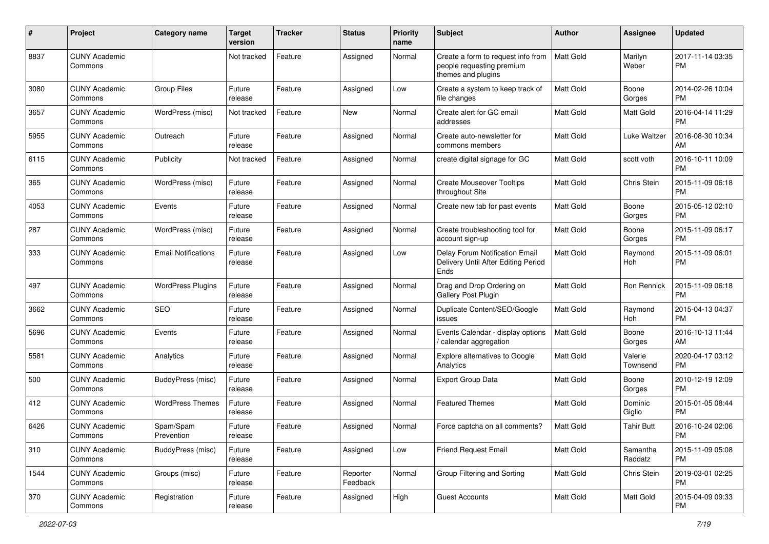| #    | Project                         | <b>Category name</b>       | <b>Target</b><br>version | <b>Tracker</b> | <b>Status</b>        | <b>Priority</b><br>name | <b>Subject</b>                                                                        | Author           | <b>Assignee</b>     | <b>Updated</b>                |
|------|---------------------------------|----------------------------|--------------------------|----------------|----------------------|-------------------------|---------------------------------------------------------------------------------------|------------------|---------------------|-------------------------------|
| 8837 | <b>CUNY Academic</b><br>Commons |                            | Not tracked              | Feature        | Assigned             | Normal                  | Create a form to request info from<br>people requesting premium<br>themes and plugins | <b>Matt Gold</b> | Marilyn<br>Weber    | 2017-11-14 03:35<br><b>PM</b> |
| 3080 | <b>CUNY Academic</b><br>Commons | <b>Group Files</b>         | Future<br>release        | Feature        | Assigned             | Low                     | Create a system to keep track of<br>file changes                                      | <b>Matt Gold</b> | Boone<br>Gorges     | 2014-02-26 10:04<br><b>PM</b> |
| 3657 | <b>CUNY Academic</b><br>Commons | WordPress (misc)           | Not tracked              | Feature        | New                  | Normal                  | Create alert for GC email<br>addresses                                                | <b>Matt Gold</b> | Matt Gold           | 2016-04-14 11:29<br><b>PM</b> |
| 5955 | <b>CUNY Academic</b><br>Commons | Outreach                   | Future<br>release        | Feature        | Assigned             | Normal                  | Create auto-newsletter for<br>commons members                                         | <b>Matt Gold</b> | Luke Waltzer        | 2016-08-30 10:34<br>AM        |
| 6115 | <b>CUNY Academic</b><br>Commons | Publicity                  | Not tracked              | Feature        | Assigned             | Normal                  | create digital signage for GC                                                         | <b>Matt Gold</b> | scott voth          | 2016-10-11 10:09<br><b>PM</b> |
| 365  | <b>CUNY Academic</b><br>Commons | WordPress (misc)           | Future<br>release        | Feature        | Assigned             | Normal                  | <b>Create Mouseover Tooltips</b><br>throughout Site                                   | <b>Matt Gold</b> | Chris Stein         | 2015-11-09 06:18<br><b>PM</b> |
| 4053 | <b>CUNY Academic</b><br>Commons | Events                     | Future<br>release        | Feature        | Assigned             | Normal                  | Create new tab for past events                                                        | <b>Matt Gold</b> | Boone<br>Gorges     | 2015-05-12 02:10<br><b>PM</b> |
| 287  | <b>CUNY Academic</b><br>Commons | WordPress (misc)           | Future<br>release        | Feature        | Assigned             | Normal                  | Create troubleshooting tool for<br>account sign-up                                    | Matt Gold        | Boone<br>Gorges     | 2015-11-09 06:17<br><b>PM</b> |
| 333  | <b>CUNY Academic</b><br>Commons | <b>Email Notifications</b> | Future<br>release        | Feature        | Assigned             | Low                     | Delay Forum Notification Email<br>Delivery Until After Editing Period<br>Ends         | <b>Matt Gold</b> | Raymond<br>Hoh      | 2015-11-09 06:01<br><b>PM</b> |
| 497  | <b>CUNY Academic</b><br>Commons | <b>WordPress Plugins</b>   | Future<br>release        | Feature        | Assigned             | Normal                  | Drag and Drop Ordering on<br><b>Gallery Post Plugin</b>                               | <b>Matt Gold</b> | Ron Rennick         | 2015-11-09 06:18<br><b>PM</b> |
| 3662 | <b>CUNY Academic</b><br>Commons | <b>SEO</b>                 | Future<br>release        | Feature        | Assigned             | Normal                  | Duplicate Content/SEO/Google<br>issues                                                | <b>Matt Gold</b> | Raymond<br>Hoh      | 2015-04-13 04:37<br><b>PM</b> |
| 5696 | <b>CUNY Academic</b><br>Commons | Events                     | Future<br>release        | Feature        | Assigned             | Normal                  | Events Calendar - display options<br>/ calendar aggregation                           | Matt Gold        | Boone<br>Gorges     | 2016-10-13 11:44<br>AM        |
| 5581 | <b>CUNY Academic</b><br>Commons | Analytics                  | Future<br>release        | Feature        | Assigned             | Normal                  | Explore alternatives to Google<br>Analytics                                           | <b>Matt Gold</b> | Valerie<br>Townsend | 2020-04-17 03:12<br><b>PM</b> |
| 500  | <b>CUNY Academic</b><br>Commons | BuddyPress (misc)          | Future<br>release        | Feature        | Assigned             | Normal                  | <b>Export Group Data</b>                                                              | Matt Gold        | Boone<br>Gorges     | 2010-12-19 12:09<br><b>PM</b> |
| 412  | <b>CUNY Academic</b><br>Commons | <b>WordPress Themes</b>    | Future<br>release        | Feature        | Assigned             | Normal                  | <b>Featured Themes</b>                                                                | Matt Gold        | Dominic<br>Giglio   | 2015-01-05 08:44<br><b>PM</b> |
| 6426 | <b>CUNY Academic</b><br>Commons | Spam/Spam<br>Prevention    | Future<br>release        | Feature        | Assigned             | Normal                  | Force captcha on all comments?                                                        | <b>Matt Gold</b> | <b>Tahir Butt</b>   | 2016-10-24 02:06<br>PM        |
| 310  | <b>CUNY Academic</b><br>Commons | BuddyPress (misc)          | Future<br>release        | Feature        | Assigned             | Low                     | <b>Friend Request Email</b>                                                           | Matt Gold        | Samantha<br>Raddatz | 2015-11-09 05:08<br><b>PM</b> |
| 1544 | <b>CUNY Academic</b><br>Commons | Groups (misc)              | Future<br>release        | Feature        | Reporter<br>Feedback | Normal                  | Group Filtering and Sorting                                                           | Matt Gold        | Chris Stein         | 2019-03-01 02:25<br><b>PM</b> |
| 370  | <b>CUNY Academic</b><br>Commons | Registration               | Future<br>release        | Feature        | Assigned             | High                    | <b>Guest Accounts</b>                                                                 | Matt Gold        | Matt Gold           | 2015-04-09 09:33<br><b>PM</b> |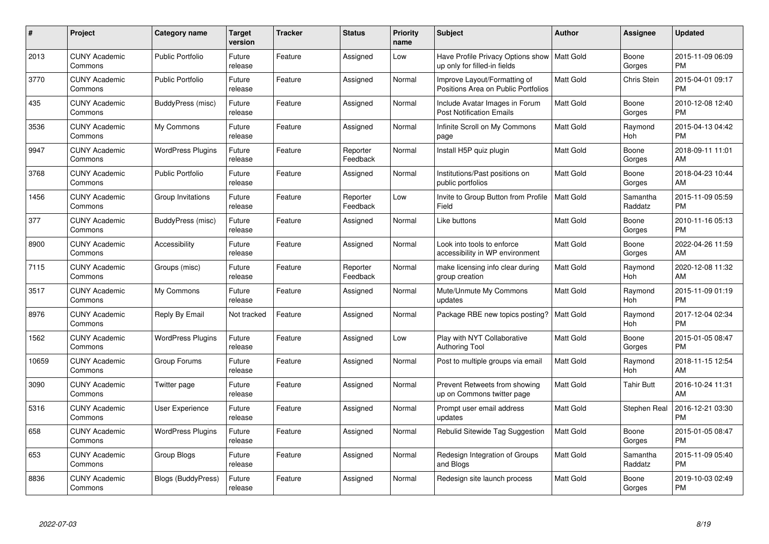| #     | Project                         | <b>Category name</b>     | Target<br>version | <b>Tracker</b> | <b>Status</b>        | Priority<br>name | <b>Subject</b>                                                      | <b>Author</b>    | <b>Assignee</b>     | <b>Updated</b>                |
|-------|---------------------------------|--------------------------|-------------------|----------------|----------------------|------------------|---------------------------------------------------------------------|------------------|---------------------|-------------------------------|
| 2013  | <b>CUNY Academic</b><br>Commons | <b>Public Portfolio</b>  | Future<br>release | Feature        | Assigned             | Low              | Have Profile Privacy Options show<br>up only for filled-in fields   | l Matt Gold      | Boone<br>Gorges     | 2015-11-09 06:09<br><b>PM</b> |
| 3770  | <b>CUNY Academic</b><br>Commons | <b>Public Portfolio</b>  | Future<br>release | Feature        | Assigned             | Normal           | Improve Layout/Formatting of<br>Positions Area on Public Portfolios | <b>Matt Gold</b> | <b>Chris Stein</b>  | 2015-04-01 09:17<br><b>PM</b> |
| 435   | <b>CUNY Academic</b><br>Commons | BuddyPress (misc)        | Future<br>release | Feature        | Assigned             | Normal           | Include Avatar Images in Forum<br><b>Post Notification Emails</b>   | <b>Matt Gold</b> | Boone<br>Gorges     | 2010-12-08 12:40<br><b>PM</b> |
| 3536  | <b>CUNY Academic</b><br>Commons | My Commons               | Future<br>release | Feature        | Assigned             | Normal           | Infinite Scroll on My Commons<br>page                               | <b>Matt Gold</b> | Raymond<br>Hoh      | 2015-04-13 04:42<br><b>PM</b> |
| 9947  | <b>CUNY Academic</b><br>Commons | <b>WordPress Plugins</b> | Future<br>release | Feature        | Reporter<br>Feedback | Normal           | Install H5P quiz plugin                                             | <b>Matt Gold</b> | Boone<br>Gorges     | 2018-09-11 11:01<br><b>AM</b> |
| 3768  | <b>CUNY Academic</b><br>Commons | <b>Public Portfolio</b>  | Future<br>release | Feature        | Assigned             | Normal           | Institutions/Past positions on<br>public portfolios                 | <b>Matt Gold</b> | Boone<br>Gorges     | 2018-04-23 10:44<br>AM        |
| 1456  | <b>CUNY Academic</b><br>Commons | Group Invitations        | Future<br>release | Feature        | Reporter<br>Feedback | Low              | Invite to Group Button from Profile<br>Field                        | <b>Matt Gold</b> | Samantha<br>Raddatz | 2015-11-09 05:59<br><b>PM</b> |
| 377   | <b>CUNY Academic</b><br>Commons | BuddyPress (misc)        | Future<br>release | Feature        | Assigned             | Normal           | Like buttons                                                        | <b>Matt Gold</b> | Boone<br>Gorges     | 2010-11-16 05:13<br><b>PM</b> |
| 8900  | <b>CUNY Academic</b><br>Commons | Accessibility            | Future<br>release | Feature        | Assigned             | Normal           | Look into tools to enforce<br>accessibility in WP environment       | Matt Gold        | Boone<br>Gorges     | 2022-04-26 11:59<br>AM        |
| 7115  | <b>CUNY Academic</b><br>Commons | Groups (misc)            | Future<br>release | Feature        | Reporter<br>Feedback | Normal           | make licensing info clear during<br>group creation                  | <b>Matt Gold</b> | Raymond<br>Hoh      | 2020-12-08 11:32<br>AM        |
| 3517  | <b>CUNY Academic</b><br>Commons | My Commons               | Future<br>release | Feature        | Assigned             | Normal           | Mute/Unmute My Commons<br>updates                                   | Matt Gold        | Raymond<br>Hoh      | 2015-11-09 01:19<br><b>PM</b> |
| 8976  | <b>CUNY Academic</b><br>Commons | Reply By Email           | Not tracked       | Feature        | Assigned             | Normal           | Package RBE new topics posting?                                     | Matt Gold        | Raymond<br>Hoh      | 2017-12-04 02:34<br><b>PM</b> |
| 1562  | <b>CUNY Academic</b><br>Commons | <b>WordPress Plugins</b> | Future<br>release | Feature        | Assigned             | Low              | Play with NYT Collaborative<br>Authoring Tool                       | <b>Matt Gold</b> | Boone<br>Gorges     | 2015-01-05 08:47<br>PM.       |
| 10659 | <b>CUNY Academic</b><br>Commons | Group Forums             | Future<br>release | Feature        | Assigned             | Normal           | Post to multiple groups via email                                   | <b>Matt Gold</b> | Raymond<br>Hoh      | 2018-11-15 12:54<br>AM        |
| 3090  | <b>CUNY Academic</b><br>Commons | Twitter page             | Future<br>release | Feature        | Assigned             | Normal           | Prevent Retweets from showing<br>up on Commons twitter page         | <b>Matt Gold</b> | Tahir Butt          | 2016-10-24 11:31<br>AM        |
| 5316  | <b>CUNY Academic</b><br>Commons | User Experience          | Future<br>release | Feature        | Assigned             | Normal           | Prompt user email address<br>updates                                | <b>Matt Gold</b> | Stephen Real        | 2016-12-21 03:30<br><b>PM</b> |
| 658   | <b>CUNY Academic</b><br>Commons | <b>WordPress Plugins</b> | Future<br>release | Feature        | Assigned             | Normal           | Rebulid Sitewide Tag Suggestion                                     | <b>Matt Gold</b> | Boone<br>Gorges     | 2015-01-05 08:47<br><b>PM</b> |
| 653   | <b>CUNY Academic</b><br>Commons | Group Blogs              | Future<br>release | Feature        | Assigned             | Normal           | Redesign Integration of Groups<br>and Blogs                         | Matt Gold        | Samantha<br>Raddatz | 2015-11-09 05:40<br><b>PM</b> |
| 8836  | <b>CUNY Academic</b><br>Commons | Blogs (BuddyPress)       | Future<br>release | Feature        | Assigned             | Normal           | Redesign site launch process                                        | Matt Gold        | Boone<br>Gorges     | 2019-10-03 02:49<br>PM        |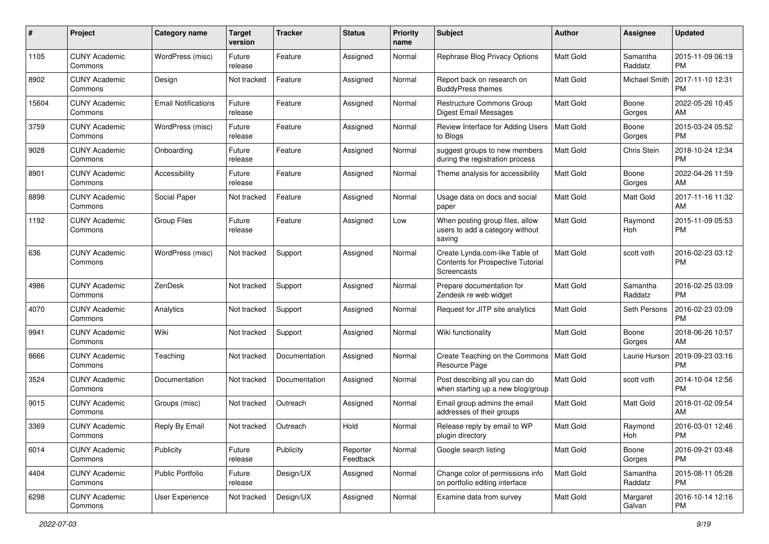| #     | Project                         | <b>Category name</b>       | <b>Target</b><br>version | <b>Tracker</b> | <b>Status</b>        | Priority<br>name | <b>Subject</b>                                                                     | Author           | <b>Assignee</b>     | <b>Updated</b>                |
|-------|---------------------------------|----------------------------|--------------------------|----------------|----------------------|------------------|------------------------------------------------------------------------------------|------------------|---------------------|-------------------------------|
| 1105  | <b>CUNY Academic</b><br>Commons | WordPress (misc)           | Future<br>release        | Feature        | Assigned             | Normal           | Rephrase Blog Privacy Options                                                      | <b>Matt Gold</b> | Samantha<br>Raddatz | 2015-11-09 06:19<br><b>PM</b> |
| 8902  | <b>CUNY Academic</b><br>Commons | Design                     | Not tracked              | Feature        | Assigned             | Normal           | Report back on research on<br><b>BuddyPress themes</b>                             | <b>Matt Gold</b> | Michael Smith       | 2017-11-10 12:31<br><b>PM</b> |
| 15604 | <b>CUNY Academic</b><br>Commons | <b>Email Notifications</b> | Future<br>release        | Feature        | Assigned             | Normal           | Restructure Commons Group<br><b>Digest Email Messages</b>                          | Matt Gold        | Boone<br>Gorges     | 2022-05-26 10:45<br>AM        |
| 3759  | <b>CUNY Academic</b><br>Commons | WordPress (misc)           | Future<br>release        | Feature        | Assigned             | Normal           | Review Interface for Adding Users<br>to Blogs                                      | <b>Matt Gold</b> | Boone<br>Gorges     | 2015-03-24 05:52<br>PM        |
| 9028  | <b>CUNY Academic</b><br>Commons | Onboarding                 | Future<br>release        | Feature        | Assigned             | Normal           | suggest groups to new members<br>during the registration process                   | <b>Matt Gold</b> | Chris Stein         | 2018-10-24 12:34<br><b>PM</b> |
| 8901  | <b>CUNY Academic</b><br>Commons | Accessibility              | Future<br>release        | Feature        | Assigned             | Normal           | Theme analysis for accessibility                                                   | Matt Gold        | Boone<br>Gorges     | 2022-04-26 11:59<br>AM        |
| 8898  | <b>CUNY Academic</b><br>Commons | Social Paper               | Not tracked              | Feature        | Assigned             | Normal           | Usage data on docs and social<br>paper                                             | Matt Gold        | Matt Gold           | 2017-11-16 11:32<br>AM        |
| 1192  | <b>CUNY Academic</b><br>Commons | <b>Group Files</b>         | Future<br>release        | Feature        | Assigned             | Low              | When posting group files, allow<br>users to add a category without<br>saving       | <b>Matt Gold</b> | Raymond<br>Hoh      | 2015-11-09 05:53<br><b>PM</b> |
| 636   | <b>CUNY Academic</b><br>Commons | WordPress (misc)           | Not tracked              | Support        | Assigned             | Normal           | Create Lynda.com-like Table of<br>Contents for Prospective Tutorial<br>Screencasts | <b>Matt Gold</b> | scott voth          | 2016-02-23 03:12<br><b>PM</b> |
| 4986  | <b>CUNY Academic</b><br>Commons | ZenDesk                    | Not tracked              | Support        | Assigned             | Normal           | Prepare documentation for<br>Zendesk re web widget                                 | Matt Gold        | Samantha<br>Raddatz | 2016-02-25 03:09<br><b>PM</b> |
| 4070  | CUNY Academic<br>Commons        | Analytics                  | Not tracked              | Support        | Assigned             | Normal           | Request for JITP site analytics                                                    | Matt Gold        | Seth Persons        | 2016-02-23 03:09<br><b>PM</b> |
| 9941  | <b>CUNY Academic</b><br>Commons | Wiki                       | Not tracked              | Support        | Assigned             | Normal           | Wiki functionality                                                                 | <b>Matt Gold</b> | Boone<br>Gorges     | 2018-06-26 10:57<br>AM        |
| 8666  | CUNY Academic<br>Commons        | Teaching                   | Not tracked              | Documentation  | Assigned             | Normal           | Create Teaching on the Commons<br>Resource Page                                    | <b>Matt Gold</b> | Laurie Hurson       | 2019-09-23 03:16<br><b>PM</b> |
| 3524  | <b>CUNY Academic</b><br>Commons | Documentation              | Not tracked              | Documentation  | Assigned             | Normal           | Post describing all you can do<br>when starting up a new blog/group                | <b>Matt Gold</b> | scott voth          | 2014-10-04 12:56<br><b>PM</b> |
| 9015  | <b>CUNY Academic</b><br>Commons | Groups (misc)              | Not tracked              | Outreach       | Assigned             | Normal           | Email group admins the email<br>addresses of their groups                          | <b>Matt Gold</b> | Matt Gold           | 2018-01-02 09:54<br>AM        |
| 3369  | <b>CUNY Academic</b><br>Commons | Reply By Email             | Not tracked              | Outreach       | Hold                 | Normal           | Release reply by email to WP<br>plugin directory                                   | Matt Gold        | Raymond<br>Hoh      | 2016-03-01 12:46<br>PM        |
| 6014  | <b>CUNY Academic</b><br>Commons | Publicity                  | Future<br>release        | Publicity      | Reporter<br>Feedback | Normal           | Google search listing                                                              | Matt Gold        | Boone<br>Gorges     | 2016-09-21 03:48<br>PM        |
| 4404  | <b>CUNY Academic</b><br>Commons | Public Portfolio           | Future<br>release        | Design/UX      | Assigned             | Normal           | Change color of permissions info<br>on portfolio editing interface                 | Matt Gold        | Samantha<br>Raddatz | 2015-08-11 05:28<br><b>PM</b> |
| 6298  | <b>CUNY Academic</b><br>Commons | User Experience            | Not tracked              | Design/UX      | Assigned             | Normal           | Examine data from survey                                                           | Matt Gold        | Margaret<br>Galvan  | 2016-10-14 12:16<br><b>PM</b> |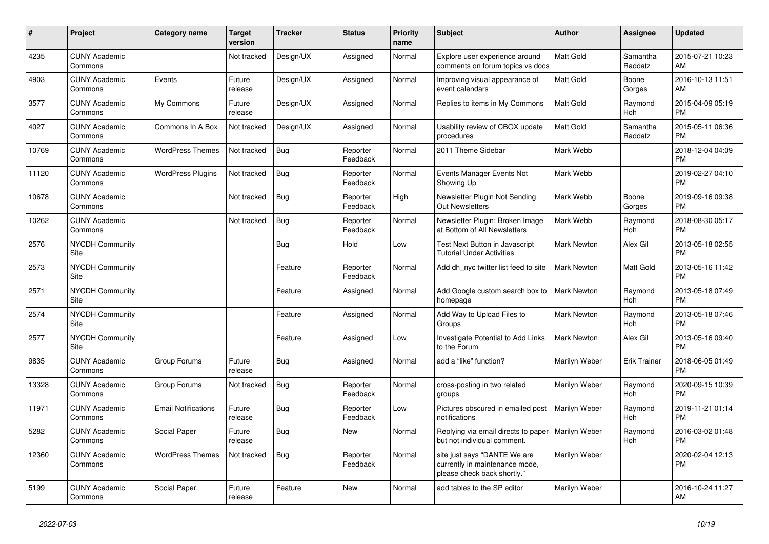| $\pmb{\sharp}$ | <b>Project</b>                  | <b>Category name</b>       | <b>Target</b><br>version | <b>Tracker</b> | <b>Status</b>        | <b>Priority</b><br>name | <b>Subject</b>                                                                                | <b>Author</b>      | Assignee            | <b>Updated</b>                |
|----------------|---------------------------------|----------------------------|--------------------------|----------------|----------------------|-------------------------|-----------------------------------------------------------------------------------------------|--------------------|---------------------|-------------------------------|
| 4235           | <b>CUNY Academic</b><br>Commons |                            | Not tracked              | Design/UX      | Assigned             | Normal                  | Explore user experience around<br>comments on forum topics vs docs                            | <b>Matt Gold</b>   | Samantha<br>Raddatz | 2015-07-21 10:23<br>AM        |
| 4903           | <b>CUNY Academic</b><br>Commons | Events                     | Future<br>release        | Design/UX      | Assigned             | Normal                  | Improving visual appearance of<br>event calendars                                             | <b>Matt Gold</b>   | Boone<br>Gorges     | 2016-10-13 11:51<br>AM        |
| 3577           | <b>CUNY Academic</b><br>Commons | My Commons                 | Future<br>release        | Design/UX      | Assigned             | Normal                  | Replies to items in My Commons                                                                | Matt Gold          | Raymond<br>Hoh      | 2015-04-09 05:19<br><b>PM</b> |
| 4027           | <b>CUNY Academic</b><br>Commons | Commons In A Box           | Not tracked              | Design/UX      | Assigned             | Normal                  | Usability review of CBOX update<br>procedures                                                 | <b>Matt Gold</b>   | Samantha<br>Raddatz | 2015-05-11 06:36<br><b>PM</b> |
| 10769          | <b>CUNY Academic</b><br>Commons | <b>WordPress Themes</b>    | Not tracked              | Bug            | Reporter<br>Feedback | Normal                  | 2011 Theme Sidebar                                                                            | Mark Webb          |                     | 2018-12-04 04:09<br><b>PM</b> |
| 11120          | <b>CUNY Academic</b><br>Commons | <b>WordPress Plugins</b>   | Not tracked              | Bug            | Reporter<br>Feedback | Normal                  | Events Manager Events Not<br>Showing Up                                                       | Mark Webb          |                     | 2019-02-27 04:10<br><b>PM</b> |
| 10678          | <b>CUNY Academic</b><br>Commons |                            | Not tracked              | Bug            | Reporter<br>Feedback | High                    | Newsletter Plugin Not Sending<br><b>Out Newsletters</b>                                       | Mark Webb          | Boone<br>Gorges     | 2019-09-16 09:38<br><b>PM</b> |
| 10262          | <b>CUNY Academic</b><br>Commons |                            | Not tracked              | Bug            | Reporter<br>Feedback | Normal                  | Newsletter Plugin: Broken Image<br>at Bottom of All Newsletters                               | Mark Webb          | Raymond<br>Hoh      | 2018-08-30 05:17<br><b>PM</b> |
| 2576           | <b>NYCDH Community</b><br>Site  |                            |                          | Bug            | Hold                 | Low                     | Test Next Button in Javascript<br><b>Tutorial Under Activities</b>                            | Mark Newton        | Alex Gil            | 2013-05-18 02:55<br><b>PM</b> |
| 2573           | NYCDH Community<br>Site         |                            |                          | Feature        | Reporter<br>Feedback | Normal                  | Add dh nyc twitter list feed to site                                                          | <b>Mark Newton</b> | Matt Gold           | 2013-05-16 11:42<br><b>PM</b> |
| 2571           | <b>NYCDH Community</b><br>Site  |                            |                          | Feature        | Assigned             | Normal                  | Add Google custom search box to<br>homepage                                                   | <b>Mark Newton</b> | Raymond<br>Hoh      | 2013-05-18 07:49<br><b>PM</b> |
| 2574           | <b>NYCDH Community</b><br>Site  |                            |                          | Feature        | Assigned             | Normal                  | Add Way to Upload Files to<br>Groups                                                          | <b>Mark Newton</b> | Raymond<br>Hoh      | 2013-05-18 07:46<br><b>PM</b> |
| 2577           | <b>NYCDH Community</b><br>Site  |                            |                          | Feature        | Assigned             | Low                     | Investigate Potential to Add Links<br>to the Forum                                            | <b>Mark Newton</b> | Alex Gil            | 2013-05-16 09:40<br><b>PM</b> |
| 9835           | <b>CUNY Academic</b><br>Commons | Group Forums               | Future<br>release        | Bug            | Assigned             | Normal                  | add a "like" function?                                                                        | Marilyn Weber      | <b>Erik Trainer</b> | 2018-06-05 01:49<br><b>PM</b> |
| 13328          | <b>CUNY Academic</b><br>Commons | Group Forums               | Not tracked              | <b>Bug</b>     | Reporter<br>Feedback | Normal                  | cross-posting in two related<br>groups                                                        | Marilyn Weber      | Raymond<br>Hoh      | 2020-09-15 10:39<br><b>PM</b> |
| 11971          | <b>CUNY Academic</b><br>Commons | <b>Email Notifications</b> | Future<br>release        | Bug            | Reporter<br>Feedback | Low                     | Pictures obscured in emailed post<br>notifications                                            | Marilyn Weber      | Raymond<br>Hoh      | 2019-11-21 01:14<br><b>PM</b> |
| 5282           | <b>CUNY Academic</b><br>Commons | Social Paper               | Future<br>release        | Bug            | <b>New</b>           | Normal                  | Replying via email directs to paper<br>but not individual comment.                            | Marilyn Weber      | Raymond<br>Hoh      | 2016-03-02 01:48<br><b>PM</b> |
| 12360          | <b>CUNY Academic</b><br>Commons | <b>WordPress Themes</b>    | Not tracked              | <b>Bug</b>     | Reporter<br>Feedback | Normal                  | site just says "DANTE We are<br>currently in maintenance mode,<br>please check back shortly." | Marilyn Weber      |                     | 2020-02-04 12:13<br><b>PM</b> |
| 5199           | <b>CUNY Academic</b><br>Commons | Social Paper               | Future<br>release        | Feature        | <b>New</b>           | Normal                  | add tables to the SP editor                                                                   | Marilyn Weber      |                     | 2016-10-24 11:27<br>AM        |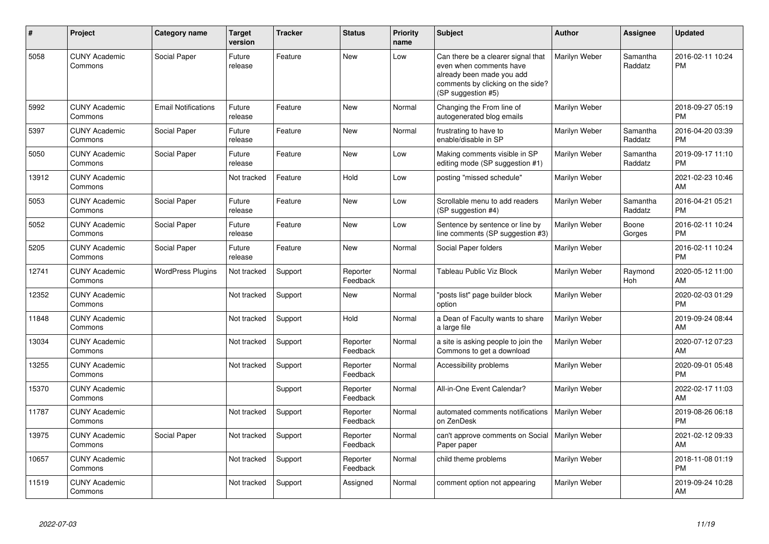| #     | <b>Project</b>                  | Category name              | <b>Target</b><br>version | <b>Tracker</b> | <b>Status</b>        | <b>Priority</b><br>name | <b>Subject</b>                                                                                                                                        | Author        | Assignee              | <b>Updated</b>                |
|-------|---------------------------------|----------------------------|--------------------------|----------------|----------------------|-------------------------|-------------------------------------------------------------------------------------------------------------------------------------------------------|---------------|-----------------------|-------------------------------|
| 5058  | <b>CUNY Academic</b><br>Commons | Social Paper               | Future<br>release        | Feature        | <b>New</b>           | Low                     | Can there be a clearer signal that<br>even when comments have<br>already been made you add<br>comments by clicking on the side?<br>(SP suggestion #5) | Marilyn Weber | Samantha<br>Raddatz   | 2016-02-11 10:24<br><b>PM</b> |
| 5992  | <b>CUNY Academic</b><br>Commons | <b>Email Notifications</b> | Future<br>release        | Feature        | <b>New</b>           | Normal                  | Changing the From line of<br>autogenerated blog emails                                                                                                | Marilyn Weber |                       | 2018-09-27 05:19<br><b>PM</b> |
| 5397  | <b>CUNY Academic</b><br>Commons | Social Paper               | Future<br>release        | Feature        | <b>New</b>           | Normal                  | frustrating to have to<br>enable/disable in SP                                                                                                        | Marilyn Weber | Samantha<br>Raddatz   | 2016-04-20 03:39<br><b>PM</b> |
| 5050  | <b>CUNY Academic</b><br>Commons | Social Paper               | Future<br>release        | Feature        | <b>New</b>           | Low                     | Making comments visible in SP<br>editing mode (SP suggestion #1)                                                                                      | Marilyn Weber | Samantha<br>Raddatz   | 2019-09-17 11:10<br><b>PM</b> |
| 13912 | <b>CUNY Academic</b><br>Commons |                            | Not tracked              | Feature        | Hold                 | Low                     | posting "missed schedule"                                                                                                                             | Marilyn Weber |                       | 2021-02-23 10:46<br>AM        |
| 5053  | <b>CUNY Academic</b><br>Commons | Social Paper               | Future<br>release        | Feature        | <b>New</b>           | Low                     | Scrollable menu to add readers<br>(SP suggestion #4)                                                                                                  | Marilyn Weber | Samantha<br>Raddatz   | 2016-04-21 05:21<br><b>PM</b> |
| 5052  | <b>CUNY Academic</b><br>Commons | Social Paper               | Future<br>release        | Feature        | <b>New</b>           | Low                     | Sentence by sentence or line by<br>line comments (SP suggestion #3)                                                                                   | Marilyn Weber | Boone<br>Gorges       | 2016-02-11 10:24<br><b>PM</b> |
| 5205  | <b>CUNY Academic</b><br>Commons | Social Paper               | Future<br>release        | Feature        | New                  | Normal                  | Social Paper folders                                                                                                                                  | Marilyn Weber |                       | 2016-02-11 10:24<br><b>PM</b> |
| 12741 | <b>CUNY Academic</b><br>Commons | <b>WordPress Plugins</b>   | Not tracked              | Support        | Reporter<br>Feedback | Normal                  | Tableau Public Viz Block                                                                                                                              | Marilyn Weber | Raymond<br><b>Hoh</b> | 2020-05-12 11:00<br>AM        |
| 12352 | <b>CUNY Academic</b><br>Commons |                            | Not tracked              | Support        | <b>New</b>           | Normal                  | 'posts list" page builder block<br>option                                                                                                             | Marilyn Weber |                       | 2020-02-03 01:29<br><b>PM</b> |
| 11848 | <b>CUNY Academic</b><br>Commons |                            | Not tracked              | Support        | Hold                 | Normal                  | a Dean of Faculty wants to share<br>a large file                                                                                                      | Marilyn Weber |                       | 2019-09-24 08:44<br>AM        |
| 13034 | <b>CUNY Academic</b><br>Commons |                            | Not tracked              | Support        | Reporter<br>Feedback | Normal                  | a site is asking people to join the<br>Commons to get a download                                                                                      | Marilyn Weber |                       | 2020-07-12 07:23<br>AM        |
| 13255 | <b>CUNY Academic</b><br>Commons |                            | Not tracked              | Support        | Reporter<br>Feedback | Normal                  | Accessibility problems                                                                                                                                | Marilyn Weber |                       | 2020-09-01 05:48<br><b>PM</b> |
| 15370 | <b>CUNY Academic</b><br>Commons |                            |                          | Support        | Reporter<br>Feedback | Normal                  | All-in-One Event Calendar?                                                                                                                            | Marilyn Weber |                       | 2022-02-17 11:03<br>AM        |
| 11787 | <b>CUNY Academic</b><br>Commons |                            | Not tracked              | Support        | Reporter<br>Feedback | Normal                  | automated comments notifications<br>on ZenDesk                                                                                                        | Marilyn Weber |                       | 2019-08-26 06:18<br><b>PM</b> |
| 13975 | <b>CUNY Academic</b><br>Commons | Social Paper               | Not tracked              | Support        | Reporter<br>Feedback | Normal                  | can't approve comments on Social   Marilyn Weber<br>Paper paper                                                                                       |               |                       | 2021-02-12 09:33<br>AM        |
| 10657 | <b>CUNY Academic</b><br>Commons |                            | Not tracked              | Support        | Reporter<br>Feedback | Normal                  | child theme problems                                                                                                                                  | Marilyn Weber |                       | 2018-11-08 01:19<br><b>PM</b> |
| 11519 | <b>CUNY Academic</b><br>Commons |                            | Not tracked              | Support        | Assigned             | Normal                  | comment option not appearing                                                                                                                          | Marilyn Weber |                       | 2019-09-24 10:28<br>AM        |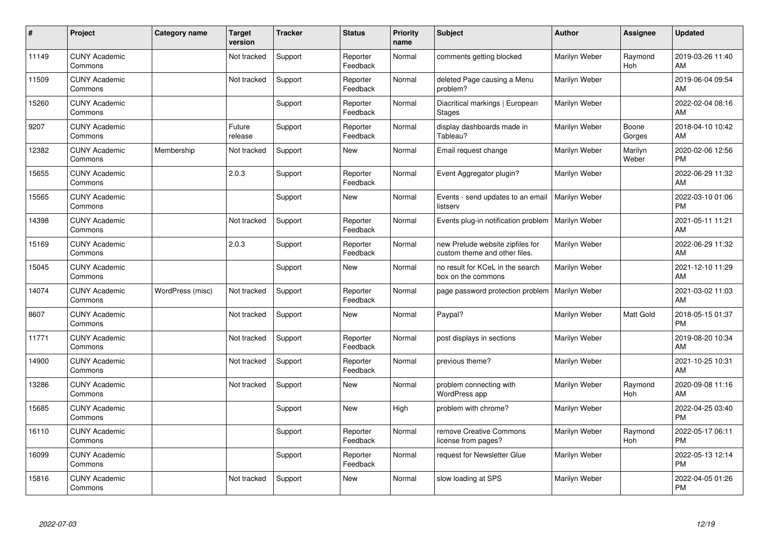| #     | Project                         | Category name    | <b>Target</b><br>version | <b>Tracker</b> | <b>Status</b>        | <b>Priority</b><br>name | <b>Subject</b>                                                    | <b>Author</b> | <b>Assignee</b>  | <b>Updated</b>                |
|-------|---------------------------------|------------------|--------------------------|----------------|----------------------|-------------------------|-------------------------------------------------------------------|---------------|------------------|-------------------------------|
| 11149 | <b>CUNY Academic</b><br>Commons |                  | Not tracked              | Support        | Reporter<br>Feedback | Normal                  | comments getting blocked                                          | Marilyn Weber | Raymond<br>Hoh   | 2019-03-26 11:40<br>AM        |
| 11509 | <b>CUNY Academic</b><br>Commons |                  | Not tracked              | Support        | Reporter<br>Feedback | Normal                  | deleted Page causing a Menu<br>problem?                           | Marilyn Weber |                  | 2019-06-04 09:54<br><b>AM</b> |
| 15260 | <b>CUNY Academic</b><br>Commons |                  |                          | Support        | Reporter<br>Feedback | Normal                  | Diacritical markings   European<br><b>Stages</b>                  | Marilyn Weber |                  | 2022-02-04 08:16<br>AM        |
| 9207  | <b>CUNY Academic</b><br>Commons |                  | Future<br>release        | Support        | Reporter<br>Feedback | Normal                  | display dashboards made in<br>Tableau?                            | Marilyn Weber | Boone<br>Gorges  | 2018-04-10 10:42<br>AM        |
| 12382 | <b>CUNY Academic</b><br>Commons | Membership       | Not tracked              | Support        | New                  | Normal                  | Email request change                                              | Marilyn Weber | Marilyn<br>Weber | 2020-02-06 12:56<br><b>PM</b> |
| 15655 | <b>CUNY Academic</b><br>Commons |                  | 2.0.3                    | Support        | Reporter<br>Feedback | Normal                  | Event Aggregator plugin?                                          | Marilyn Weber |                  | 2022-06-29 11:32<br><b>AM</b> |
| 15565 | <b>CUNY Academic</b><br>Commons |                  |                          | Support        | New                  | Normal                  | Events - send updates to an email<br>listserv                     | Marilyn Weber |                  | 2022-03-10 01:06<br><b>PM</b> |
| 14398 | <b>CUNY Academic</b><br>Commons |                  | Not tracked              | Support        | Reporter<br>Feedback | Normal                  | Events plug-in notification problem                               | Marilyn Weber |                  | 2021-05-11 11:21<br>AM        |
| 15169 | <b>CUNY Academic</b><br>Commons |                  | 2.0.3                    | Support        | Reporter<br>Feedback | Normal                  | new Prelude website zipfiles for<br>custom theme and other files. | Marilyn Weber |                  | 2022-06-29 11:32<br>AM        |
| 15045 | <b>CUNY Academic</b><br>Commons |                  |                          | Support        | <b>New</b>           | Normal                  | no result for KCeL in the search<br>box on the commons            | Marilyn Weber |                  | 2021-12-10 11:29<br>AM        |
| 14074 | <b>CUNY Academic</b><br>Commons | WordPress (misc) | Not tracked              | Support        | Reporter<br>Feedback | Normal                  | page password protection problem                                  | Marilyn Weber |                  | 2021-03-02 11:03<br>AM        |
| 8607  | <b>CUNY Academic</b><br>Commons |                  | Not tracked              | Support        | New                  | Normal                  | Paypal?                                                           | Marilyn Weber | Matt Gold        | 2018-05-15 01:37<br><b>PM</b> |
| 11771 | <b>CUNY Academic</b><br>Commons |                  | Not tracked              | Support        | Reporter<br>Feedback | Normal                  | post displays in sections                                         | Marilyn Weber |                  | 2019-08-20 10:34<br>AM        |
| 14900 | <b>CUNY Academic</b><br>Commons |                  | Not tracked              | Support        | Reporter<br>Feedback | Normal                  | previous theme?                                                   | Marilyn Weber |                  | 2021-10-25 10:31<br>AM        |
| 13286 | <b>CUNY Academic</b><br>Commons |                  | Not tracked              | Support        | New                  | Normal                  | problem connecting with<br>WordPress app                          | Marilyn Weber | Raymond<br>Hoh   | 2020-09-08 11:16<br><b>AM</b> |
| 15685 | <b>CUNY Academic</b><br>Commons |                  |                          | Support        | New                  | High                    | problem with chrome?                                              | Marilyn Weber |                  | 2022-04-25 03:40<br><b>PM</b> |
| 16110 | <b>CUNY Academic</b><br>Commons |                  |                          | Support        | Reporter<br>Feedback | Normal                  | remove Creative Commons<br>license from pages?                    | Marilyn Weber | Raymond<br>Hoh   | 2022-05-17 06:11<br><b>PM</b> |
| 16099 | <b>CUNY Academic</b><br>Commons |                  |                          | Support        | Reporter<br>Feedback | Normal                  | request for Newsletter Glue                                       | Marilyn Weber |                  | 2022-05-13 12:14<br><b>PM</b> |
| 15816 | <b>CUNY Academic</b><br>Commons |                  | Not tracked              | Support        | <b>New</b>           | Normal                  | slow loading at SPS                                               | Marilyn Weber |                  | 2022-04-05 01:26<br>PM        |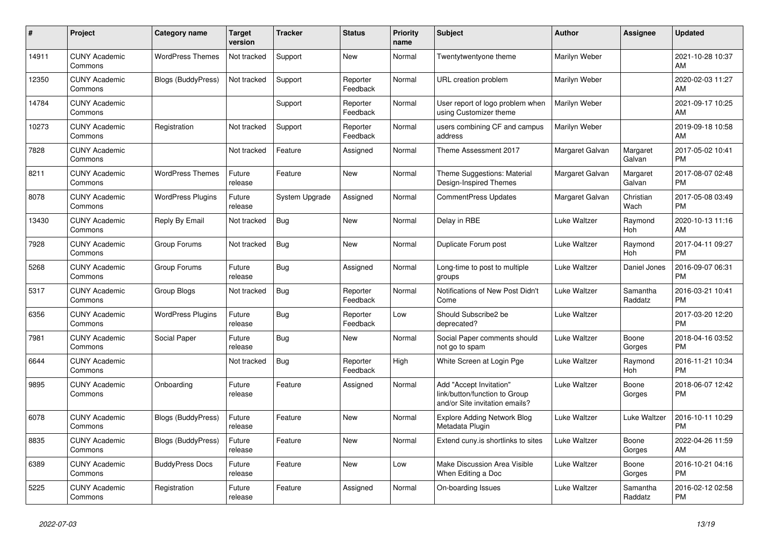| #     | Project                         | <b>Category name</b>      | <b>Target</b><br>version | <b>Tracker</b> | <b>Status</b>        | Priority<br>name | <b>Subject</b>                                                                             | <b>Author</b>   | <b>Assignee</b>     | <b>Updated</b>                |
|-------|---------------------------------|---------------------------|--------------------------|----------------|----------------------|------------------|--------------------------------------------------------------------------------------------|-----------------|---------------------|-------------------------------|
| 14911 | <b>CUNY Academic</b><br>Commons | <b>WordPress Themes</b>   | Not tracked              | Support        | <b>New</b>           | Normal           | Twentytwentyone theme                                                                      | Marilyn Weber   |                     | 2021-10-28 10:37<br>AM        |
| 12350 | <b>CUNY Academic</b><br>Commons | <b>Blogs (BuddyPress)</b> | Not tracked              | Support        | Reporter<br>Feedback | Normal           | URL creation problem                                                                       | Marilyn Weber   |                     | 2020-02-03 11:27<br>AM        |
| 14784 | <b>CUNY Academic</b><br>Commons |                           |                          | Support        | Reporter<br>Feedback | Normal           | User report of logo problem when<br>using Customizer theme                                 | Marilyn Weber   |                     | 2021-09-17 10:25<br>AM        |
| 10273 | <b>CUNY Academic</b><br>Commons | Registration              | Not tracked              | Support        | Reporter<br>Feedback | Normal           | users combining CF and campus<br>address                                                   | Marilyn Weber   |                     | 2019-09-18 10:58<br>AM        |
| 7828  | <b>CUNY Academic</b><br>Commons |                           | Not tracked              | Feature        | Assigned             | Normal           | Theme Assessment 2017                                                                      | Margaret Galvan | Margaret<br>Galvan  | 2017-05-02 10:41<br><b>PM</b> |
| 8211  | <b>CUNY Academic</b><br>Commons | <b>WordPress Themes</b>   | Future<br>release        | Feature        | New                  | Normal           | Theme Suggestions: Material<br>Design-Inspired Themes                                      | Margaret Galvan | Margaret<br>Galvan  | 2017-08-07 02:48<br><b>PM</b> |
| 8078  | <b>CUNY Academic</b><br>Commons | <b>WordPress Plugins</b>  | Future<br>release        | System Upgrade | Assigned             | Normal           | <b>CommentPress Updates</b>                                                                | Margaret Galvan | Christian<br>Wach   | 2017-05-08 03:49<br><b>PM</b> |
| 13430 | <b>CUNY Academic</b><br>Commons | Reply By Email            | Not tracked              | Bug            | New                  | Normal           | Delay in RBE                                                                               | Luke Waltzer    | Raymond<br>Hoh      | 2020-10-13 11:16<br>AM        |
| 7928  | <b>CUNY Academic</b><br>Commons | Group Forums              | Not tracked              | Bug            | <b>New</b>           | Normal           | Duplicate Forum post                                                                       | Luke Waltzer    | Raymond<br>Hoh      | 2017-04-11 09:27<br><b>PM</b> |
| 5268  | <b>CUNY Academic</b><br>Commons | Group Forums              | Future<br>release        | Bug            | Assigned             | Normal           | Long-time to post to multiple<br>groups                                                    | Luke Waltzer    | Daniel Jones        | 2016-09-07 06:31<br><b>PM</b> |
| 5317  | <b>CUNY Academic</b><br>Commons | Group Blogs               | Not tracked              | Bug            | Reporter<br>Feedback | Normal           | Notifications of New Post Didn't<br>Come                                                   | Luke Waltzer    | Samantha<br>Raddatz | 2016-03-21 10:41<br><b>PM</b> |
| 6356  | <b>CUNY Academic</b><br>Commons | <b>WordPress Plugins</b>  | Future<br>release        | Bug            | Reporter<br>Feedback | Low              | Should Subscribe2 be<br>deprecated?                                                        | Luke Waltzer    |                     | 2017-03-20 12:20<br><b>PM</b> |
| 7981  | <b>CUNY Academic</b><br>Commons | Social Paper              | Future<br>release        | Bug            | <b>New</b>           | Normal           | Social Paper comments should<br>not go to spam                                             | Luke Waltzer    | Boone<br>Gorges     | 2018-04-16 03:52<br><b>PM</b> |
| 6644  | <b>CUNY Academic</b><br>Commons |                           | Not tracked              | Bug            | Reporter<br>Feedback | High             | White Screen at Login Pge                                                                  | Luke Waltzer    | Raymond<br>Hoh      | 2016-11-21 10:34<br><b>PM</b> |
| 9895  | <b>CUNY Academic</b><br>Commons | Onboarding                | Future<br>release        | Feature        | Assigned             | Normal           | Add "Accept Invitation"<br>link/button/function to Group<br>and/or Site invitation emails? | Luke Waltzer    | Boone<br>Gorges     | 2018-06-07 12:42<br><b>PM</b> |
| 6078  | <b>CUNY Academic</b><br>Commons | <b>Blogs (BuddyPress)</b> | Future<br>release        | Feature        | <b>New</b>           | Normal           | <b>Explore Adding Network Blog</b><br>Metadata Plugin                                      | Luke Waltzer    | Luke Waltzer        | 2016-10-11 10:29<br><b>PM</b> |
| 8835  | <b>CUNY Academic</b><br>Commons | <b>Blogs (BuddyPress)</b> | Future<br>release        | Feature        | <b>New</b>           | Normal           | Extend cuny.is shortlinks to sites                                                         | Luke Waltzer    | Boone<br>Gorges     | 2022-04-26 11:59<br>AM        |
| 6389  | <b>CUNY Academic</b><br>Commons | <b>BuddyPress Docs</b>    | Future<br>release        | Feature        | New                  | Low              | Make Discussion Area Visible<br>When Editing a Doc                                         | Luke Waltzer    | Boone<br>Gorges     | 2016-10-21 04:16<br><b>PM</b> |
| 5225  | <b>CUNY Academic</b><br>Commons | Registration              | Future<br>release        | Feature        | Assigned             | Normal           | On-boarding Issues                                                                         | Luke Waltzer    | Samantha<br>Raddatz | 2016-02-12 02:58<br><b>PM</b> |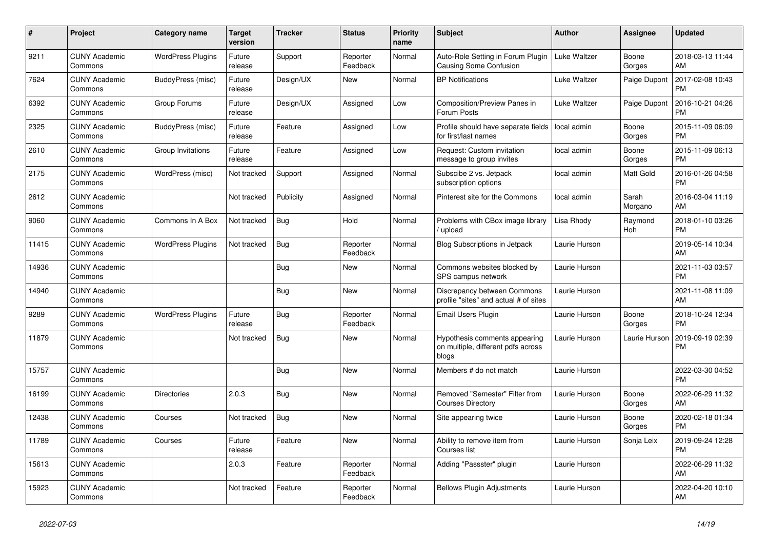| $\pmb{\sharp}$ | <b>Project</b>                  | <b>Category name</b>     | <b>Target</b><br>version | <b>Tracker</b> | <b>Status</b>        | <b>Priority</b><br>name | <b>Subject</b>                                                               | <b>Author</b> | Assignee         | <b>Updated</b>                |
|----------------|---------------------------------|--------------------------|--------------------------|----------------|----------------------|-------------------------|------------------------------------------------------------------------------|---------------|------------------|-------------------------------|
| 9211           | <b>CUNY Academic</b><br>Commons | <b>WordPress Plugins</b> | Future<br>release        | Support        | Reporter<br>Feedback | Normal                  | Auto-Role Setting in Forum Plugin<br><b>Causing Some Confusion</b>           | Luke Waltzer  | Boone<br>Gorges  | 2018-03-13 11:44<br>AM        |
| 7624           | <b>CUNY Academic</b><br>Commons | BuddyPress (misc)        | Future<br>release        | Design/UX      | New                  | Normal                  | <b>BP Notifications</b>                                                      | Luke Waltzer  | Paige Dupont     | 2017-02-08 10:43<br><b>PM</b> |
| 6392           | <b>CUNY Academic</b><br>Commons | Group Forums             | Future<br>release        | Design/UX      | Assigned             | Low                     | Composition/Preview Panes in<br>Forum Posts                                  | Luke Waltzer  | Paige Dupont     | 2016-10-21 04:26<br><b>PM</b> |
| 2325           | <b>CUNY Academic</b><br>Commons | BuddyPress (misc)        | Future<br>release        | Feature        | Assigned             | Low                     | Profile should have separate fields<br>for first/last names                  | local admin   | Boone<br>Gorges  | 2015-11-09 06:09<br><b>PM</b> |
| 2610           | <b>CUNY Academic</b><br>Commons | Group Invitations        | Future<br>release        | Feature        | Assigned             | Low                     | Request: Custom invitation<br>message to group invites                       | local admin   | Boone<br>Gorges  | 2015-11-09 06:13<br><b>PM</b> |
| 2175           | <b>CUNY Academic</b><br>Commons | WordPress (misc)         | Not tracked              | Support        | Assigned             | Normal                  | Subscibe 2 vs. Jetpack<br>subscription options                               | local admin   | Matt Gold        | 2016-01-26 04:58<br><b>PM</b> |
| 2612           | <b>CUNY Academic</b><br>Commons |                          | Not tracked              | Publicity      | Assigned             | Normal                  | Pinterest site for the Commons                                               | local admin   | Sarah<br>Morgano | 2016-03-04 11:19<br>AM        |
| 9060           | <b>CUNY Academic</b><br>Commons | Commons In A Box         | Not tracked              | Bug            | Hold                 | Normal                  | Problems with CBox image library<br>upload                                   | Lisa Rhody    | Raymond<br>Hoh   | 2018-01-10 03:26<br><b>PM</b> |
| 11415          | <b>CUNY Academic</b><br>Commons | <b>WordPress Plugins</b> | Not tracked              | Bug            | Reporter<br>Feedback | Normal                  | Blog Subscriptions in Jetpack                                                | Laurie Hurson |                  | 2019-05-14 10:34<br>AM        |
| 14936          | <b>CUNY Academic</b><br>Commons |                          |                          | Bug            | New                  | Normal                  | Commons websites blocked by<br>SPS campus network                            | Laurie Hurson |                  | 2021-11-03 03:57<br><b>PM</b> |
| 14940          | <b>CUNY Academic</b><br>Commons |                          |                          | <b>Bug</b>     | New                  | Normal                  | Discrepancy between Commons<br>profile "sites" and actual # of sites         | Laurie Hurson |                  | 2021-11-08 11:09<br>AM        |
| 9289           | <b>CUNY Academic</b><br>Commons | <b>WordPress Plugins</b> | Future<br>release        | Bug            | Reporter<br>Feedback | Normal                  | Email Users Plugin                                                           | Laurie Hurson | Boone<br>Gorges  | 2018-10-24 12:34<br><b>PM</b> |
| 11879          | <b>CUNY Academic</b><br>Commons |                          | Not tracked              | <b>Bug</b>     | New                  | Normal                  | Hypothesis comments appearing<br>on multiple, different pdfs across<br>blogs | Laurie Hurson | Laurie Hurson    | 2019-09-19 02:39<br><b>PM</b> |
| 15757          | <b>CUNY Academic</b><br>Commons |                          |                          | <b>Bug</b>     | New                  | Normal                  | Members # do not match                                                       | Laurie Hurson |                  | 2022-03-30 04:52<br><b>PM</b> |
| 16199          | <b>CUNY Academic</b><br>Commons | <b>Directories</b>       | 2.0.3                    | Bug            | <b>New</b>           | Normal                  | Removed "Semester" Filter from<br><b>Courses Directory</b>                   | Laurie Hurson | Boone<br>Gorges  | 2022-06-29 11:32<br>AM.       |
| 12438          | <b>CUNY Academic</b><br>Commons | Courses                  | Not tracked              | <b>Bug</b>     | <b>New</b>           | Normal                  | Site appearing twice                                                         | Laurie Hurson | Boone<br>Gorges  | 2020-02-18 01:34<br><b>PM</b> |
| 11789          | <b>CUNY Academic</b><br>Commons | Courses                  | Future<br>release        | Feature        | New                  | Normal                  | Ability to remove item from<br>Courses list                                  | Laurie Hurson | Sonja Leix       | 2019-09-24 12:28<br><b>PM</b> |
| 15613          | <b>CUNY Academic</b><br>Commons |                          | 2.0.3                    | Feature        | Reporter<br>Feedback | Normal                  | Adding "Passster" plugin                                                     | Laurie Hurson |                  | 2022-06-29 11:32<br>AM        |
| 15923          | <b>CUNY Academic</b><br>Commons |                          | Not tracked              | Feature        | Reporter<br>Feedback | Normal                  | <b>Bellows Plugin Adjustments</b>                                            | Laurie Hurson |                  | 2022-04-20 10:10<br>AM        |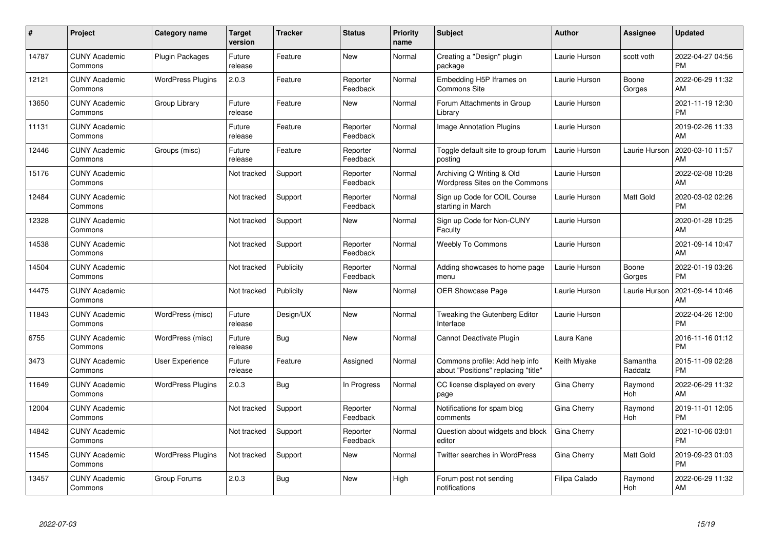| #     | Project                         | <b>Category name</b>     | Target<br>version | <b>Tracker</b> | <b>Status</b>        | <b>Priority</b><br>name | <b>Subject</b>                                                        | <b>Author</b> | <b>Assignee</b>     | <b>Updated</b>                |
|-------|---------------------------------|--------------------------|-------------------|----------------|----------------------|-------------------------|-----------------------------------------------------------------------|---------------|---------------------|-------------------------------|
| 14787 | <b>CUNY Academic</b><br>Commons | Plugin Packages          | Future<br>release | Feature        | <b>New</b>           | Normal                  | Creating a "Design" plugin<br>package                                 | Laurie Hurson | scott voth          | 2022-04-27 04:56<br><b>PM</b> |
| 12121 | <b>CUNY Academic</b><br>Commons | <b>WordPress Plugins</b> | 2.0.3             | Feature        | Reporter<br>Feedback | Normal                  | Embedding H5P Iframes on<br><b>Commons Site</b>                       | Laurie Hurson | Boone<br>Gorges     | 2022-06-29 11:32<br>AM.       |
| 13650 | <b>CUNY Academic</b><br>Commons | Group Library            | Future<br>release | Feature        | <b>New</b>           | Normal                  | Forum Attachments in Group<br>Library                                 | Laurie Hurson |                     | 2021-11-19 12:30<br><b>PM</b> |
| 11131 | <b>CUNY Academic</b><br>Commons |                          | Future<br>release | Feature        | Reporter<br>Feedback | Normal                  | Image Annotation Plugins                                              | Laurie Hurson |                     | 2019-02-26 11:33<br>AM        |
| 12446 | <b>CUNY Academic</b><br>Commons | Groups (misc)            | Future<br>release | Feature        | Reporter<br>Feedback | Normal                  | Toggle default site to group forum<br>posting                         | Laurie Hurson | Laurie Hurson       | 2020-03-10 11:57<br>AM        |
| 15176 | <b>CUNY Academic</b><br>Commons |                          | Not tracked       | Support        | Reporter<br>Feedback | Normal                  | Archiving Q Writing & Old<br>Wordpress Sites on the Commons           | Laurie Hurson |                     | 2022-02-08 10:28<br>AM        |
| 12484 | <b>CUNY Academic</b><br>Commons |                          | Not tracked       | Support        | Reporter<br>Feedback | Normal                  | Sign up Code for COIL Course<br>starting in March                     | Laurie Hurson | Matt Gold           | 2020-03-02 02:26<br><b>PM</b> |
| 12328 | <b>CUNY Academic</b><br>Commons |                          | Not tracked       | Support        | New                  | Normal                  | Sign up Code for Non-CUNY<br>Faculty                                  | Laurie Hurson |                     | 2020-01-28 10:25<br><b>AM</b> |
| 14538 | <b>CUNY Academic</b><br>Commons |                          | Not tracked       | Support        | Reporter<br>Feedback | Normal                  | <b>Weebly To Commons</b>                                              | Laurie Hurson |                     | 2021-09-14 10:47<br>AM        |
| 14504 | <b>CUNY Academic</b><br>Commons |                          | Not tracked       | Publicity      | Reporter<br>Feedback | Normal                  | Adding showcases to home page<br>menu                                 | Laurie Hurson | Boone<br>Gorges     | 2022-01-19 03:26<br>PM        |
| 14475 | <b>CUNY Academic</b><br>Commons |                          | Not tracked       | Publicity      | New                  | Normal                  | <b>OER Showcase Page</b>                                              | Laurie Hurson | Laurie Hurson       | 2021-09-14 10:46<br>AM        |
| 11843 | <b>CUNY Academic</b><br>Commons | WordPress (misc)         | Future<br>release | Design/UX      | New                  | Normal                  | Tweaking the Gutenberg Editor<br>Interface                            | Laurie Hurson |                     | 2022-04-26 12:00<br><b>PM</b> |
| 6755  | <b>CUNY Academic</b><br>Commons | WordPress (misc)         | Future<br>release | Bug            | New                  | Normal                  | Cannot Deactivate Plugin                                              | Laura Kane    |                     | 2016-11-16 01:12<br><b>PM</b> |
| 3473  | <b>CUNY Academic</b><br>Commons | User Experience          | Future<br>release | Feature        | Assigned             | Normal                  | Commons profile: Add help info<br>about "Positions" replacing "title" | Keith Miyake  | Samantha<br>Raddatz | 2015-11-09 02:28<br><b>PM</b> |
| 11649 | <b>CUNY Academic</b><br>Commons | <b>WordPress Plugins</b> | 2.0.3             | Bug            | In Progress          | Normal                  | CC license displayed on every<br>page                                 | Gina Cherry   | Raymond<br>Hoh      | 2022-06-29 11:32<br><b>AM</b> |
| 12004 | <b>CUNY Academic</b><br>Commons |                          | Not tracked       | Support        | Reporter<br>Feedback | Normal                  | Notifications for spam blog<br>comments                               | Gina Cherry   | Raymond<br>Hoh      | 2019-11-01 12:05<br><b>PM</b> |
| 14842 | <b>CUNY Academic</b><br>Commons |                          | Not tracked       | Support        | Reporter<br>Feedback | Normal                  | Question about widgets and block<br>editor                            | Gina Cherry   |                     | 2021-10-06 03:01<br><b>PM</b> |
| 11545 | <b>CUNY Academic</b><br>Commons | <b>WordPress Plugins</b> | Not tracked       | Support        | New                  | Normal                  | <b>Twitter searches in WordPress</b>                                  | Gina Cherry   | Matt Gold           | 2019-09-23 01:03<br><b>PM</b> |
| 13457 | <b>CUNY Academic</b><br>Commons | Group Forums             | 2.0.3             | Bug            | <b>New</b>           | High                    | Forum post not sending<br>notifications                               | Filipa Calado | Raymond<br>Hoh      | 2022-06-29 11:32<br>AM        |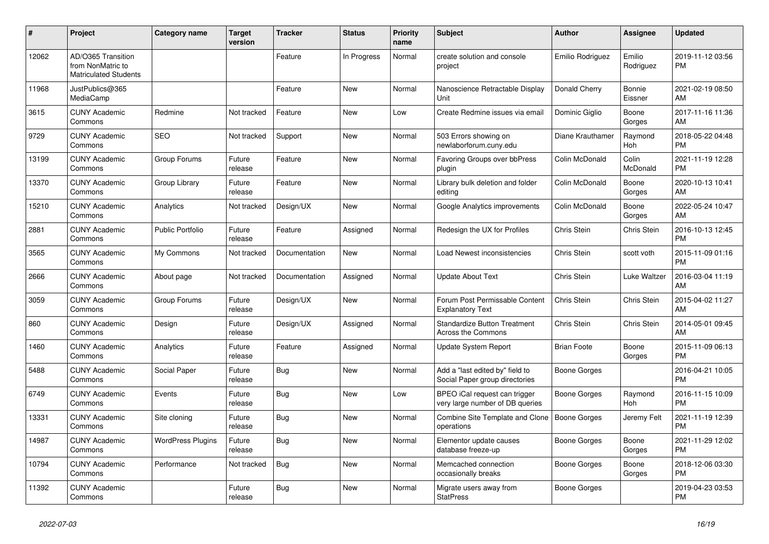| #     | Project                                                          | <b>Category name</b>     | <b>Target</b><br>version | <b>Tracker</b> | <b>Status</b> | Priority<br>name | <b>Subject</b>                                                    | <b>Author</b>      | <b>Assignee</b>     | <b>Updated</b>                |
|-------|------------------------------------------------------------------|--------------------------|--------------------------|----------------|---------------|------------------|-------------------------------------------------------------------|--------------------|---------------------|-------------------------------|
| 12062 | AD/O365 Transition<br>from NonMatric to<br>Matriculated Students |                          |                          | Feature        | In Progress   | Normal           | create solution and console<br>project                            | Emilio Rodriguez   | Emilio<br>Rodriguez | 2019-11-12 03:56<br>PM.       |
| 11968 | JustPublics@365<br>MediaCamp                                     |                          |                          | Feature        | <b>New</b>    | Normal           | Nanoscience Retractable Display<br>Unit                           | Donald Cherry      | Bonnie<br>Eissner   | 2021-02-19 08:50<br>AM        |
| 3615  | <b>CUNY Academic</b><br>Commons                                  | Redmine                  | Not tracked              | Feature        | <b>New</b>    | Low              | Create Redmine issues via email                                   | Dominic Giglio     | Boone<br>Gorges     | 2017-11-16 11:36<br>AM.       |
| 9729  | <b>CUNY Academic</b><br>Commons                                  | <b>SEO</b>               | Not tracked              | Support        | New           | Normal           | 503 Errors showing on<br>newlaborforum.cuny.edu                   | Diane Krauthamer   | Raymond<br>Hoh      | 2018-05-22 04:48<br><b>PM</b> |
| 13199 | <b>CUNY Academic</b><br>Commons                                  | Group Forums             | Future<br>release        | Feature        | <b>New</b>    | Normal           | Favoring Groups over bbPress<br>plugin                            | Colin McDonald     | Colin<br>McDonald   | 2021-11-19 12:28<br><b>PM</b> |
| 13370 | <b>CUNY Academic</b><br>Commons                                  | Group Library            | Future<br>release        | Feature        | <b>New</b>    | Normal           | Library bulk deletion and folder<br>editing                       | Colin McDonald     | Boone<br>Gorges     | 2020-10-13 10:41<br>AM        |
| 15210 | <b>CUNY Academic</b><br>Commons                                  | Analytics                | Not tracked              | Design/UX      | New           | Normal           | Google Analytics improvements                                     | Colin McDonald     | Boone<br>Gorges     | 2022-05-24 10:47<br>AM        |
| 2881  | <b>CUNY Academic</b><br>Commons                                  | <b>Public Portfolio</b>  | Future<br>release        | Feature        | Assigned      | Normal           | Redesign the UX for Profiles                                      | Chris Stein        | Chris Stein         | 2016-10-13 12:45<br><b>PM</b> |
| 3565  | <b>CUNY Academic</b><br>Commons                                  | My Commons               | Not tracked              | Documentation  | New           | Normal           | Load Newest inconsistencies                                       | Chris Stein        | scott voth          | 2015-11-09 01:16<br><b>PM</b> |
| 2666  | <b>CUNY Academic</b><br>Commons                                  | About page               | Not tracked              | Documentation  | Assigned      | Normal           | <b>Update About Text</b>                                          | Chris Stein        | Luke Waltzer        | 2016-03-04 11:19<br><b>AM</b> |
| 3059  | <b>CUNY Academic</b><br>Commons                                  | Group Forums             | Future<br>release        | Design/UX      | New           | Normal           | Forum Post Permissable Content<br><b>Explanatory Text</b>         | Chris Stein        | Chris Stein         | 2015-04-02 11:27<br>AM        |
| 860   | <b>CUNY Academic</b><br>Commons                                  | Design                   | Future<br>release        | Design/UX      | Assigned      | Normal           | <b>Standardize Button Treatment</b><br><b>Across the Commons</b>  | Chris Stein        | Chris Stein         | 2014-05-01 09:45<br>AM        |
| 1460  | <b>CUNY Academic</b><br>Commons                                  | Analytics                | Future<br>release        | Feature        | Assigned      | Normal           | Update System Report                                              | <b>Brian Foote</b> | Boone<br>Gorges     | 2015-11-09 06:13<br><b>PM</b> |
| 5488  | <b>CUNY Academic</b><br>Commons                                  | Social Paper             | Future<br>release        | Bug            | New           | Normal           | Add a "last edited by" field to<br>Social Paper group directories | Boone Gorges       |                     | 2016-04-21 10:05<br><b>PM</b> |
| 6749  | <b>CUNY Academic</b><br>Commons                                  | Events                   | Future<br>release        | Bug            | New           | Low              | BPEO iCal request can trigger<br>very large number of DB queries  | Boone Gorges       | Raymond<br>Hoh      | 2016-11-15 10:09<br><b>PM</b> |
| 13331 | <b>CUNY Academic</b><br>Commons                                  | Site cloning             | Future<br>release        | <b>Bug</b>     | <b>New</b>    | Normal           | Combine Site Template and Clone<br>operations                     | Boone Gorges       | Jeremy Felt         | 2021-11-19 12:39<br><b>PM</b> |
| 14987 | <b>CUNY Academic</b><br>Commons                                  | <b>WordPress Plugins</b> | Future<br>release        | Bug            | <b>New</b>    | Normal           | Elementor update causes<br>database freeze-up                     | Boone Gorges       | Boone<br>Gorges     | 2021-11-29 12:02<br><b>PM</b> |
| 10794 | <b>CUNY Academic</b><br>Commons                                  | Performance              | Not tracked              | Bug            | New           | Normal           | Memcached connection<br>occasionally breaks                       | Boone Gorges       | Boone<br>Gorges     | 2018-12-06 03:30<br><b>PM</b> |
| 11392 | <b>CUNY Academic</b><br>Commons                                  |                          | Future<br>release        | <b>Bug</b>     | <b>New</b>    | Normal           | Migrate users away from<br><b>StatPress</b>                       | Boone Gorges       |                     | 2019-04-23 03:53<br><b>PM</b> |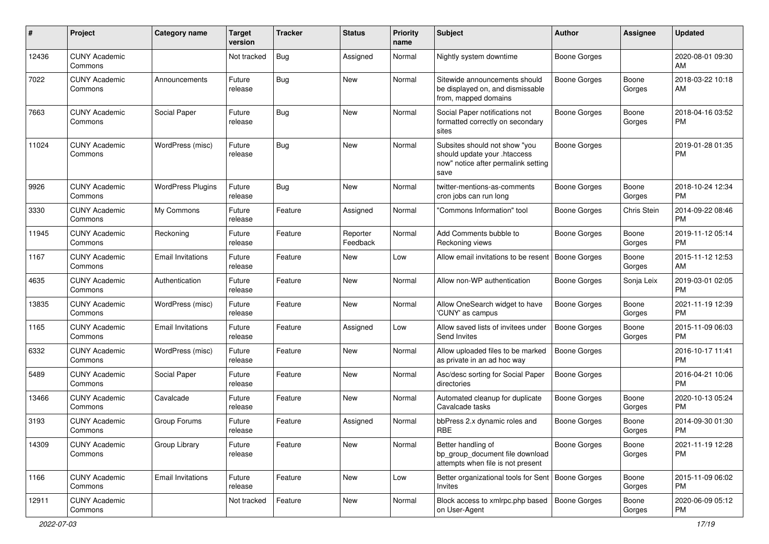| #     | Project                         | <b>Category name</b>     | <b>Target</b><br>version | <b>Tracker</b> | <b>Status</b>        | Priority<br>name | <b>Subject</b>                                                                                               | <b>Author</b>       | <b>Assignee</b> | <b>Updated</b>                |
|-------|---------------------------------|--------------------------|--------------------------|----------------|----------------------|------------------|--------------------------------------------------------------------------------------------------------------|---------------------|-----------------|-------------------------------|
| 12436 | <b>CUNY Academic</b><br>Commons |                          | Not tracked              | Bug            | Assigned             | Normal           | Nightly system downtime                                                                                      | <b>Boone Gorges</b> |                 | 2020-08-01 09:30<br>AM        |
| 7022  | <b>CUNY Academic</b><br>Commons | Announcements            | Future<br>release        | <b>Bug</b>     | New                  | Normal           | Sitewide announcements should<br>be displayed on, and dismissable<br>from, mapped domains                    | <b>Boone Gorges</b> | Boone<br>Gorges | 2018-03-22 10:18<br>AM        |
| 7663  | <b>CUNY Academic</b><br>Commons | Social Paper             | Future<br>release        | Bug            | New                  | Normal           | Social Paper notifications not<br>formatted correctly on secondary<br>sites                                  | <b>Boone Gorges</b> | Boone<br>Gorges | 2018-04-16 03:52<br><b>PM</b> |
| 11024 | <b>CUNY Academic</b><br>Commons | WordPress (misc)         | Future<br>release        | Bug            | New                  | Normal           | Subsites should not show "you<br>should update your .htaccess<br>now" notice after permalink setting<br>save | <b>Boone Gorges</b> |                 | 2019-01-28 01:35<br><b>PM</b> |
| 9926  | <b>CUNY Academic</b><br>Commons | <b>WordPress Plugins</b> | Future<br>release        | Bug            | <b>New</b>           | Normal           | twitter-mentions-as-comments<br>cron jobs can run long                                                       | <b>Boone Gorges</b> | Boone<br>Gorges | 2018-10-24 12:34<br><b>PM</b> |
| 3330  | <b>CUNY Academic</b><br>Commons | My Commons               | Future<br>release        | Feature        | Assigned             | Normal           | "Commons Information" tool                                                                                   | <b>Boone Gorges</b> | Chris Stein     | 2014-09-22 08:46<br><b>PM</b> |
| 11945 | <b>CUNY Academic</b><br>Commons | Reckoning                | Future<br>release        | Feature        | Reporter<br>Feedback | Normal           | Add Comments bubble to<br>Reckoning views                                                                    | <b>Boone Gorges</b> | Boone<br>Gorges | 2019-11-12 05:14<br><b>PM</b> |
| 1167  | <b>CUNY Academic</b><br>Commons | <b>Email Invitations</b> | Future<br>release        | Feature        | New                  | Low              | Allow email invitations to be resent                                                                         | Boone Gorges        | Boone<br>Gorges | 2015-11-12 12:53<br>AM        |
| 4635  | <b>CUNY Academic</b><br>Commons | Authentication           | Future<br>release        | Feature        | <b>New</b>           | Normal           | Allow non-WP authentication                                                                                  | Boone Gorges        | Sonja Leix      | 2019-03-01 02:05<br><b>PM</b> |
| 13835 | <b>CUNY Academic</b><br>Commons | WordPress (misc)         | Future<br>release        | Feature        | <b>New</b>           | Normal           | Allow OneSearch widget to have<br>'CUNY' as campus                                                           | <b>Boone Gorges</b> | Boone<br>Gorges | 2021-11-19 12:39<br><b>PM</b> |
| 1165  | <b>CUNY Academic</b><br>Commons | <b>Email Invitations</b> | Future<br>release        | Feature        | Assigned             | Low              | Allow saved lists of invitees under<br>Send Invites                                                          | <b>Boone Gorges</b> | Boone<br>Gorges | 2015-11-09 06:03<br><b>PM</b> |
| 6332  | <b>CUNY Academic</b><br>Commons | WordPress (misc)         | Future<br>release        | Feature        | New                  | Normal           | Allow uploaded files to be marked<br>as private in an ad hoc way                                             | <b>Boone Gorges</b> |                 | 2016-10-17 11:41<br><b>PM</b> |
| 5489  | <b>CUNY Academic</b><br>Commons | Social Paper             | Future<br>release        | Feature        | <b>New</b>           | Normal           | Asc/desc sorting for Social Paper<br>directories                                                             | <b>Boone Gorges</b> |                 | 2016-04-21 10:06<br><b>PM</b> |
| 13466 | <b>CUNY Academic</b><br>Commons | Cavalcade                | Future<br>release        | Feature        | New                  | Normal           | Automated cleanup for duplicate<br>Cavalcade tasks                                                           | Boone Gorges        | Boone<br>Gorges | 2020-10-13 05:24<br><b>PM</b> |
| 3193  | <b>CUNY Academic</b><br>Commons | Group Forums             | Future<br>release        | Feature        | Assigned             | Normal           | bbPress 2.x dynamic roles and<br><b>RBE</b>                                                                  | Boone Gorges        | Boone<br>Gorges | 2014-09-30 01:30<br><b>PM</b> |
| 14309 | <b>CUNY Academic</b><br>Commons | Group Library            | Future<br>release        | Feature        | New                  | Normal           | Better handling of<br>bp_group_document file download<br>attempts when file is not present                   | <b>Boone Gorges</b> | Boone<br>Gorges | 2021-11-19 12:28<br><b>PM</b> |
| 1166  | <b>CUNY Academic</b><br>Commons | <b>Email Invitations</b> | Future<br>release        | Feature        | New                  | Low              | Better organizational tools for Sent   Boone Gorges<br><b>Invites</b>                                        |                     | Boone<br>Gorges | 2015-11-09 06:02<br>PM.       |
| 12911 | <b>CUNY Academic</b><br>Commons |                          | Not tracked              | Feature        | New                  | Normal           | Block access to xmlrpc.php based<br>on User-Agent                                                            | Boone Gorges        | Boone<br>Gorges | 2020-06-09 05:12<br>PM        |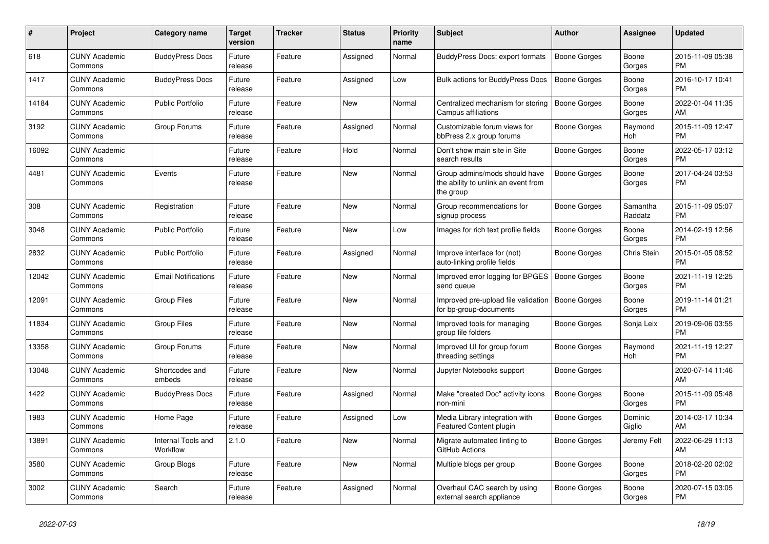| #     | <b>Project</b>                  | Category name                  | <b>Target</b><br>version | <b>Tracker</b> | <b>Status</b> | <b>Priority</b><br>name | <b>Subject</b>                                                                    | <b>Author</b>       | Assignee            | <b>Updated</b>                |
|-------|---------------------------------|--------------------------------|--------------------------|----------------|---------------|-------------------------|-----------------------------------------------------------------------------------|---------------------|---------------------|-------------------------------|
| 618   | <b>CUNY Academic</b><br>Commons | <b>BuddyPress Docs</b>         | Future<br>release        | Feature        | Assigned      | Normal                  | <b>BuddyPress Docs: export formats</b>                                            | <b>Boone Gorges</b> | Boone<br>Gorges     | 2015-11-09 05:38<br><b>PM</b> |
| 1417  | <b>CUNY Academic</b><br>Commons | <b>BuddyPress Docs</b>         | Future<br>release        | Feature        | Assigned      | Low                     | <b>Bulk actions for BuddyPress Docs</b>                                           | Boone Gorges        | Boone<br>Gorges     | 2016-10-17 10:41<br><b>PM</b> |
| 14184 | <b>CUNY Academic</b><br>Commons | <b>Public Portfolio</b>        | Future<br>release        | Feature        | New           | Normal                  | Centralized mechanism for storing<br>Campus affiliations                          | Boone Gorges        | Boone<br>Gorges     | 2022-01-04 11:35<br>AM        |
| 3192  | <b>CUNY Academic</b><br>Commons | Group Forums                   | Future<br>release        | Feature        | Assigned      | Normal                  | Customizable forum views for<br>bbPress 2.x group forums                          | Boone Gorges        | Raymond<br>Hoh      | 2015-11-09 12:47<br><b>PM</b> |
| 16092 | <b>CUNY Academic</b><br>Commons |                                | Future<br>release        | Feature        | Hold          | Normal                  | Don't show main site in Site<br>search results                                    | Boone Gorges        | Boone<br>Gorges     | 2022-05-17 03:12<br><b>PM</b> |
| 4481  | <b>CUNY Academic</b><br>Commons | Events                         | Future<br>release        | Feature        | New           | Normal                  | Group admins/mods should have<br>the ability to unlink an event from<br>the group | Boone Gorges        | Boone<br>Gorges     | 2017-04-24 03:53<br><b>PM</b> |
| 308   | <b>CUNY Academic</b><br>Commons | Registration                   | Future<br>release        | Feature        | <b>New</b>    | Normal                  | Group recommendations for<br>signup process                                       | Boone Gorges        | Samantha<br>Raddatz | 2015-11-09 05:07<br><b>PM</b> |
| 3048  | <b>CUNY Academic</b><br>Commons | <b>Public Portfolio</b>        | Future<br>release        | Feature        | New           | Low                     | Images for rich text profile fields                                               | Boone Gorges        | Boone<br>Gorges     | 2014-02-19 12:56<br><b>PM</b> |
| 2832  | <b>CUNY Academic</b><br>Commons | Public Portfolio               | Future<br>release        | Feature        | Assigned      | Normal                  | Improve interface for (not)<br>auto-linking profile fields                        | Boone Gorges        | Chris Stein         | 2015-01-05 08:52<br><b>PM</b> |
| 12042 | <b>CUNY Academic</b><br>Commons | <b>Email Notifications</b>     | Future<br>release        | Feature        | <b>New</b>    | Normal                  | Improved error logging for BPGES<br>send queue                                    | Boone Gorges        | Boone<br>Gorges     | 2021-11-19 12:25<br><b>PM</b> |
| 12091 | <b>CUNY Academic</b><br>Commons | <b>Group Files</b>             | Future<br>release        | Feature        | New           | Normal                  | Improved pre-upload file validation<br>for bp-group-documents                     | Boone Gorges        | Boone<br>Gorges     | 2019-11-14 01:21<br><b>PM</b> |
| 11834 | <b>CUNY Academic</b><br>Commons | <b>Group Files</b>             | Future<br>release        | Feature        | New           | Normal                  | Improved tools for managing<br>group file folders                                 | Boone Gorges        | Sonja Leix          | 2019-09-06 03:55<br><b>PM</b> |
| 13358 | <b>CUNY Academic</b><br>Commons | Group Forums                   | Future<br>release        | Feature        | <b>New</b>    | Normal                  | Improved UI for group forum<br>threading settings                                 | Boone Gorges        | Raymond<br>Hoh      | 2021-11-19 12:27<br><b>PM</b> |
| 13048 | <b>CUNY Academic</b><br>Commons | Shortcodes and<br>embeds       | Future<br>release        | Feature        | New           | Normal                  | Jupyter Notebooks support                                                         | Boone Gorges        |                     | 2020-07-14 11:46<br>AM        |
| 1422  | <b>CUNY Academic</b><br>Commons | <b>BuddyPress Docs</b>         | Future<br>release        | Feature        | Assigned      | Normal                  | Make "created Doc" activity icons<br>non-mini                                     | Boone Gorges        | Boone<br>Gorges     | 2015-11-09 05:48<br><b>PM</b> |
| 1983  | <b>CUNY Academic</b><br>Commons | Home Page                      | Future<br>release        | Feature        | Assigned      | Low                     | Media Library integration with<br>Featured Content plugin                         | Boone Gorges        | Dominic<br>Giglio   | 2014-03-17 10:34<br>AM        |
| 13891 | <b>CUNY Academic</b><br>Commons | Internal Tools and<br>Workflow | 2.1.0                    | Feature        | <b>New</b>    | Normal                  | Migrate automated linting to<br>GitHub Actions                                    | Boone Gorges        | Jeremy Felt         | 2022-06-29 11:13<br>AM        |
| 3580  | <b>CUNY Academic</b><br>Commons | Group Blogs                    | Future<br>release        | Feature        | New           | Normal                  | Multiple blogs per group                                                          | Boone Gorges        | Boone<br>Gorges     | 2018-02-20 02:02<br><b>PM</b> |
| 3002  | <b>CUNY Academic</b><br>Commons | Search                         | Future<br>release        | Feature        | Assigned      | Normal                  | Overhaul CAC search by using<br>external search appliance                         | Boone Gorges        | Boone<br>Gorges     | 2020-07-15 03:05<br><b>PM</b> |